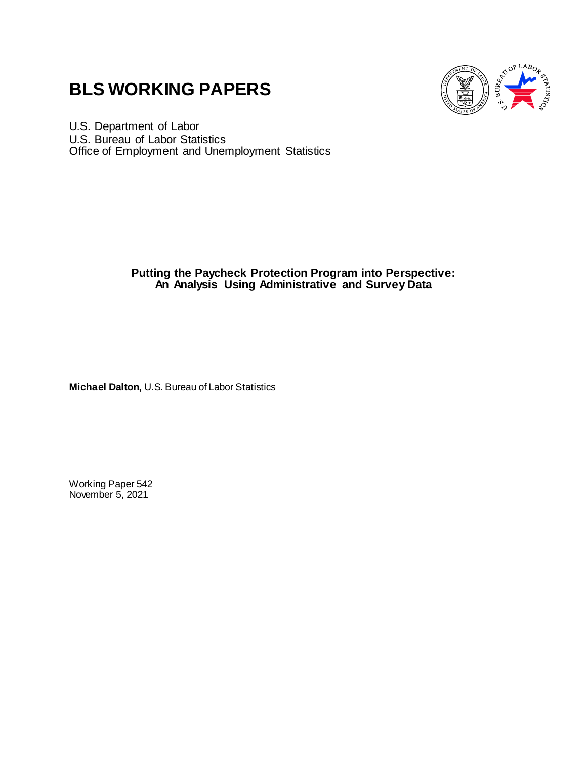# **BLS WORKING PAPERS**



U.S. Department of Labor U.S. Bureau of Labor Statistics Office of Employment and Unemployment Statistics

# **Putting the Paycheck Protection Program into Perspective: An Analysis Using Administrative and Survey Data**

**Michael Dalton,** U.S. Bureau of Labor Statistics

Working Paper 542 November 5, 2021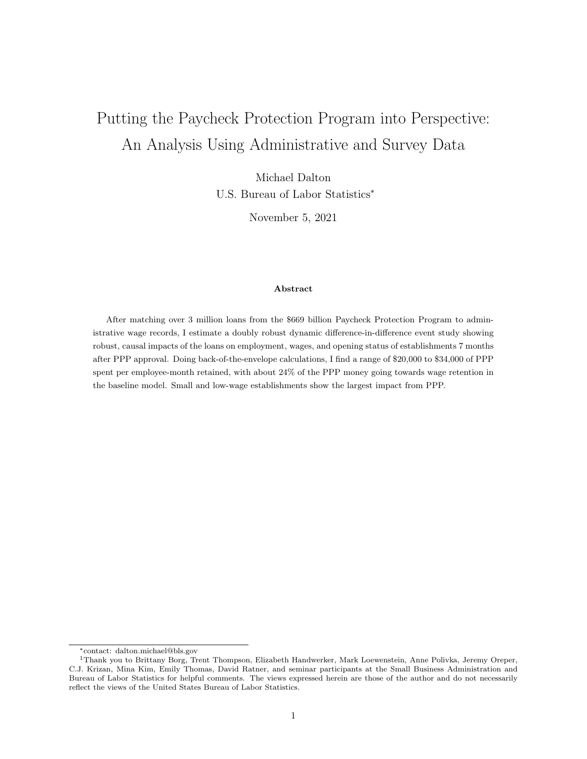# Putting the Paycheck Protection Program into Perspective: An Analysis Using Administrative and Survey Data

Michael Dalton U.S. Bureau of Labor Statistics<sup>∗</sup>

November 5, 2021

### Abstract

After matching over 3 million loans from the \$669 billion Paycheck Protection Program to administrative wage records, I estimate a doubly robust dynamic difference-in-difference event study showing robust, causal impacts of the loans on employment, wages, and opening status of establishments 7 months after PPP approval. Doing back-of-the-envelope calculations, I find a range of \$20,000 to \$34,000 of PPP spent per employee-month retained, with about 24% of the PPP money going towards wage retention in the baseline model. Small and low-wage establishments show the largest impact from PPP.

<sup>∗</sup>contact: dalton.michael@bls.gov

<sup>1</sup>Thank you to Brittany Borg, Trent Thompson, Elizabeth Handwerker, Mark Loewenstein, Anne Polivka, Jeremy Oreper, C.J. Krizan, Mina Kim, Emily Thomas, David Ratner, and seminar participants at the Small Business Administration and Bureau of Labor Statistics for helpful comments. The views expressed herein are those of the author and do not necessarily reflect the views of the United States Bureau of Labor Statistics.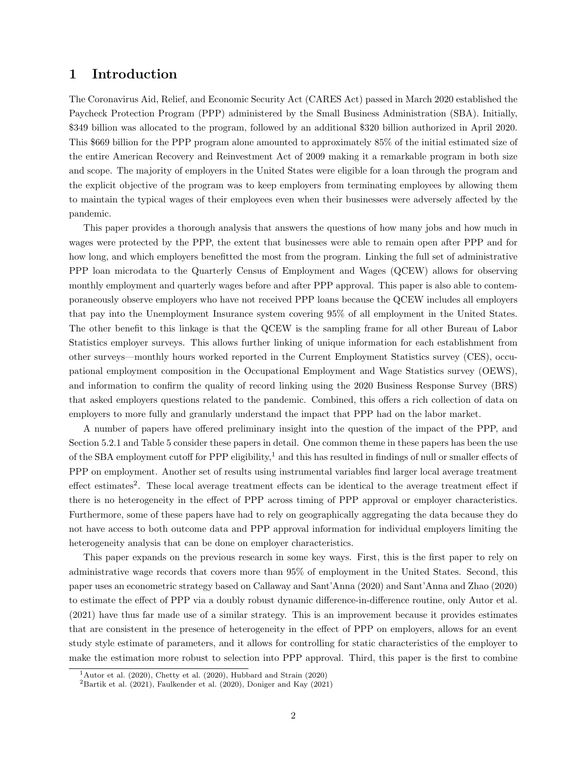# 1 Introduction

The Coronavirus Aid, Relief, and Economic Security Act (CARES Act) passed in March 2020 established the Paycheck Protection Program (PPP) administered by the Small Business Administration (SBA). Initially, \$349 billion was allocated to the program, followed by an additional \$320 billion authorized in April 2020. This \$669 billion for the PPP program alone amounted to approximately 85% of the initial estimated size of the entire American Recovery and Reinvestment Act of 2009 making it a remarkable program in both size and scope. The majority of employers in the United States were eligible for a loan through the program and the explicit objective of the program was to keep employers from terminating employees by allowing them to maintain the typical wages of their employees even when their businesses were adversely affected by the pandemic.

This paper provides a thorough analysis that answers the questions of how many jobs and how much in wages were protected by the PPP, the extent that businesses were able to remain open after PPP and for how long, and which employers benefitted the most from the program. Linking the full set of administrative PPP loan microdata to the Quarterly Census of Employment and Wages (QCEW) allows for observing monthly employment and quarterly wages before and after PPP approval. This paper is also able to contemporaneously observe employers who have not received PPP loans because the QCEW includes all employers that pay into the Unemployment Insurance system covering 95% of all employment in the United States. The other benefit to this linkage is that the QCEW is the sampling frame for all other Bureau of Labor Statistics employer surveys. This allows further linking of unique information for each establishment from other surveys—monthly hours worked reported in the Current Employment Statistics survey (CES), occupational employment composition in the Occupational Employment and Wage Statistics survey (OEWS), and information to confirm the quality of record linking using the 2020 Business Response Survey (BRS) that asked employers questions related to the pandemic. Combined, this offers a rich collection of data on employers to more fully and granularly understand the impact that PPP had on the labor market.

A number of papers have offered preliminary insight into the question of the impact of the PPP, and Section 5.2.1 and Table 5 consider these papers in detail. One common theme in these papers has been the use of the SBA employment cutoff for PPP eligibility,<sup>1</sup> and this has resulted in findings of null or smaller effects of PPP on employment. Another set of results using instrumental variables find larger local average treatment effect estimates<sup>2</sup>. These local average treatment effects can be identical to the average treatment effect if there is no heterogeneity in the effect of PPP across timing of PPP approval or employer characteristics. Furthermore, some of these papers have had to rely on geographically aggregating the data because they do not have access to both outcome data and PPP approval information for individual employers limiting the heterogeneity analysis that can be done on employer characteristics.

This paper expands on the previous research in some key ways. First, this is the first paper to rely on administrative wage records that covers more than 95% of employment in the United States. Second, this paper uses an econometric strategy based on Callaway and Sant'Anna (2020) and Sant'Anna and Zhao (2020) to estimate the effect of PPP via a doubly robust dynamic difference-in-difference routine, only Autor et al. (2021) have thus far made use of a similar strategy. This is an improvement because it provides estimates that are consistent in the presence of heterogeneity in the effect of PPP on employers, allows for an event study style estimate of parameters, and it allows for controlling for static characteristics of the employer to make the estimation more robust to selection into PPP approval. Third, this paper is the first to combine

 $1$ Autor et al. (2020), Chetty et al. (2020), Hubbard and Strain (2020)

 $2$ Bartik et al. (2021), Faulkender et al. (2020), Doniger and Kay (2021)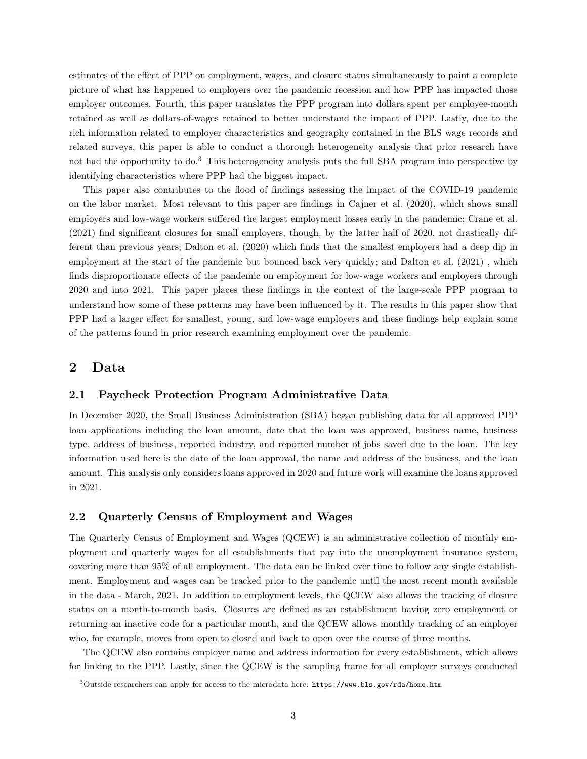estimates of the effect of PPP on employment, wages, and closure status simultaneously to paint a complete picture of what has happened to employers over the pandemic recession and how PPP has impacted those employer outcomes. Fourth, this paper translates the PPP program into dollars spent per employee-month retained as well as dollars-of-wages retained to better understand the impact of PPP. Lastly, due to the rich information related to employer characteristics and geography contained in the BLS wage records and related surveys, this paper is able to conduct a thorough heterogeneity analysis that prior research have not had the opportunity to do.<sup>3</sup> This heterogeneity analysis puts the full SBA program into perspective by identifying characteristics where PPP had the biggest impact.

This paper also contributes to the flood of findings assessing the impact of the COVID-19 pandemic on the labor market. Most relevant to this paper are findings in Cajner et al. (2020), which shows small employers and low-wage workers suffered the largest employment losses early in the pandemic; Crane et al. (2021) find significant closures for small employers, though, by the latter half of 2020, not drastically different than previous years; Dalton et al. (2020) which finds that the smallest employers had a deep dip in employment at the start of the pandemic but bounced back very quickly; and Dalton et al. (2021) , which finds disproportionate effects of the pandemic on employment for low-wage workers and employers through 2020 and into 2021. This paper places these findings in the context of the large-scale PPP program to understand how some of these patterns may have been influenced by it. The results in this paper show that PPP had a larger effect for smallest, young, and low-wage employers and these findings help explain some of the patterns found in prior research examining employment over the pandemic.

# 2 Data

# 2.1 Paycheck Protection Program Administrative Data

In December 2020, the Small Business Administration (SBA) began publishing data for all approved PPP loan applications including the loan amount, date that the loan was approved, business name, business type, address of business, reported industry, and reported number of jobs saved due to the loan. The key information used here is the date of the loan approval, the name and address of the business, and the loan amount. This analysis only considers loans approved in 2020 and future work will examine the loans approved in 2021.

# 2.2 Quarterly Census of Employment and Wages

The Quarterly Census of Employment and Wages (QCEW) is an administrative collection of monthly employment and quarterly wages for all establishments that pay into the unemployment insurance system, covering more than 95% of all employment. The data can be linked over time to follow any single establishment. Employment and wages can be tracked prior to the pandemic until the most recent month available in the data - March, 2021. In addition to employment levels, the QCEW also allows the tracking of closure status on a month-to-month basis. Closures are defined as an establishment having zero employment or returning an inactive code for a particular month, and the QCEW allows monthly tracking of an employer who, for example, moves from open to closed and back to open over the course of three months.

The QCEW also contains employer name and address information for every establishment, which allows for linking to the PPP. Lastly, since the QCEW is the sampling frame for all employer surveys conducted

 $3$ Outside researchers can apply for access to the microdata here: https://www.bls.gov/rda/home.htm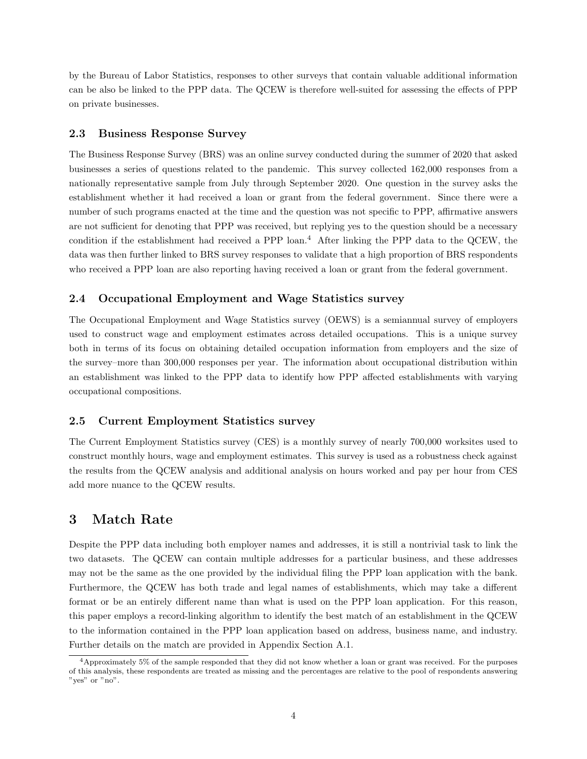by the Bureau of Labor Statistics, responses to other surveys that contain valuable additional information can be also be linked to the PPP data. The QCEW is therefore well-suited for assessing the effects of PPP on private businesses.

# 2.3 Business Response Survey

The Business Response Survey (BRS) was an online survey conducted during the summer of 2020 that asked businesses a series of questions related to the pandemic. This survey collected 162,000 responses from a nationally representative sample from July through September 2020. One question in the survey asks the establishment whether it had received a loan or grant from the federal government. Since there were a number of such programs enacted at the time and the question was not specific to PPP, affirmative answers are not sufficient for denoting that PPP was received, but replying yes to the question should be a necessary condition if the establishment had received a PPP loan.<sup>4</sup> After linking the PPP data to the QCEW, the data was then further linked to BRS survey responses to validate that a high proportion of BRS respondents who received a PPP loan are also reporting having received a loan or grant from the federal government.

### 2.4 Occupational Employment and Wage Statistics survey

The Occupational Employment and Wage Statistics survey (OEWS) is a semiannual survey of employers used to construct wage and employment estimates across detailed occupations. This is a unique survey both in terms of its focus on obtaining detailed occupation information from employers and the size of the survey–more than 300,000 responses per year. The information about occupational distribution within an establishment was linked to the PPP data to identify how PPP affected establishments with varying occupational compositions.

# 2.5 Current Employment Statistics survey

The Current Employment Statistics survey (CES) is a monthly survey of nearly 700,000 worksites used to construct monthly hours, wage and employment estimates. This survey is used as a robustness check against the results from the QCEW analysis and additional analysis on hours worked and pay per hour from CES add more nuance to the QCEW results.

# 3 Match Rate

Despite the PPP data including both employer names and addresses, it is still a nontrivial task to link the two datasets. The QCEW can contain multiple addresses for a particular business, and these addresses may not be the same as the one provided by the individual filing the PPP loan application with the bank. Furthermore, the QCEW has both trade and legal names of establishments, which may take a different format or be an entirely different name than what is used on the PPP loan application. For this reason, this paper employs a record-linking algorithm to identify the best match of an establishment in the QCEW to the information contained in the PPP loan application based on address, business name, and industry. Further details on the match are provided in Appendix Section A.1.

 $4$ Approximately 5% of the sample responded that they did not know whether a loan or grant was received. For the purposes of this analysis, these respondents are treated as missing and the percentages are relative to the pool of respondents answering "yes" or "no".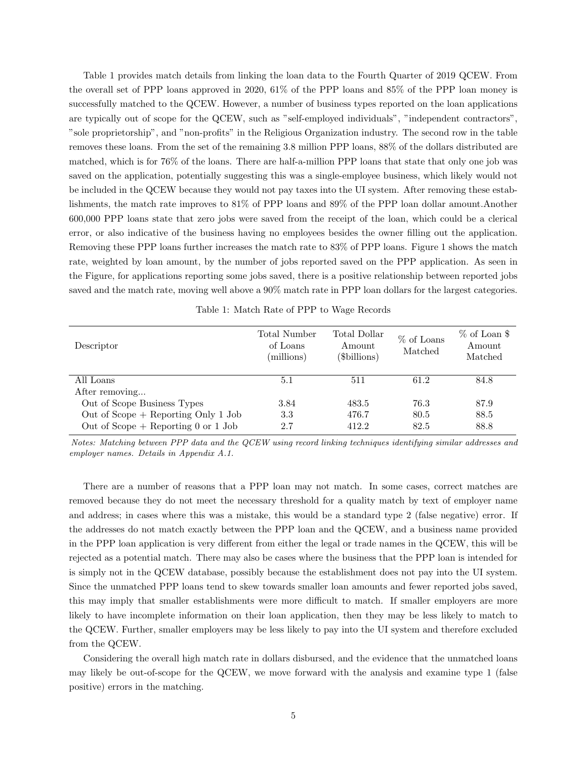Table 1 provides match details from linking the loan data to the Fourth Quarter of 2019 QCEW. From the overall set of PPP loans approved in 2020, 61% of the PPP loans and 85% of the PPP loan money is successfully matched to the QCEW. However, a number of business types reported on the loan applications are typically out of scope for the QCEW, such as "self-employed individuals", "independent contractors", "sole proprietorship", and "non-profits" in the Religious Organization industry. The second row in the table removes these loans. From the set of the remaining 3.8 million PPP loans, 88% of the dollars distributed are matched, which is for 76% of the loans. There are half-a-million PPP loans that state that only one job was saved on the application, potentially suggesting this was a single-employee business, which likely would not be included in the QCEW because they would not pay taxes into the UI system. After removing these establishments, the match rate improves to 81% of PPP loans and 89% of the PPP loan dollar amount.Another 600,000 PPP loans state that zero jobs were saved from the receipt of the loan, which could be a clerical error, or also indicative of the business having no employees besides the owner filling out the application. Removing these PPP loans further increases the match rate to 83% of PPP loans. Figure 1 shows the match rate, weighted by loan amount, by the number of jobs reported saved on the PPP application. As seen in the Figure, for applications reporting some jobs saved, there is a positive relationship between reported jobs saved and the match rate, moving well above a 90% match rate in PPP loan dollars for the largest categories.

| Descriptor                            | Total Number<br>of Loans<br>(millions) | Total Dollar<br>Amount<br>(\$billions) | $%$ of Loans<br>Matched | % of Loan \$<br>Amount<br>Matched |
|---------------------------------------|----------------------------------------|----------------------------------------|-------------------------|-----------------------------------|
| All Loans                             | 5.1                                    | 511                                    | 61.2                    | 84.8                              |
| After removing                        |                                        |                                        |                         |                                   |
| Out of Scope Business Types           | 3.84                                   | 483.5                                  | 76.3                    | 87.9                              |
| Out of Scope $+$ Reporting Only 1 Job | 3.3                                    | 476.7                                  | 80.5                    | 88.5                              |
| Out of Scope $+$ Reporting 0 or 1 Job | 2.7                                    | 412.2                                  | 82.5                    | 88.8                              |

Table 1: Match Rate of PPP to Wage Records

Notes: Matching between PPP data and the QCEW using record linking techniques identifying similar addresses and employer names. Details in Appendix A.1.

There are a number of reasons that a PPP loan may not match. In some cases, correct matches are removed because they do not meet the necessary threshold for a quality match by text of employer name and address; in cases where this was a mistake, this would be a standard type 2 (false negative) error. If the addresses do not match exactly between the PPP loan and the QCEW, and a business name provided in the PPP loan application is very different from either the legal or trade names in the QCEW, this will be rejected as a potential match. There may also be cases where the business that the PPP loan is intended for is simply not in the QCEW database, possibly because the establishment does not pay into the UI system. Since the unmatched PPP loans tend to skew towards smaller loan amounts and fewer reported jobs saved, this may imply that smaller establishments were more difficult to match. If smaller employers are more likely to have incomplete information on their loan application, then they may be less likely to match to the QCEW. Further, smaller employers may be less likely to pay into the UI system and therefore excluded from the QCEW.

Considering the overall high match rate in dollars disbursed, and the evidence that the unmatched loans may likely be out-of-scope for the QCEW, we move forward with the analysis and examine type 1 (false positive) errors in the matching.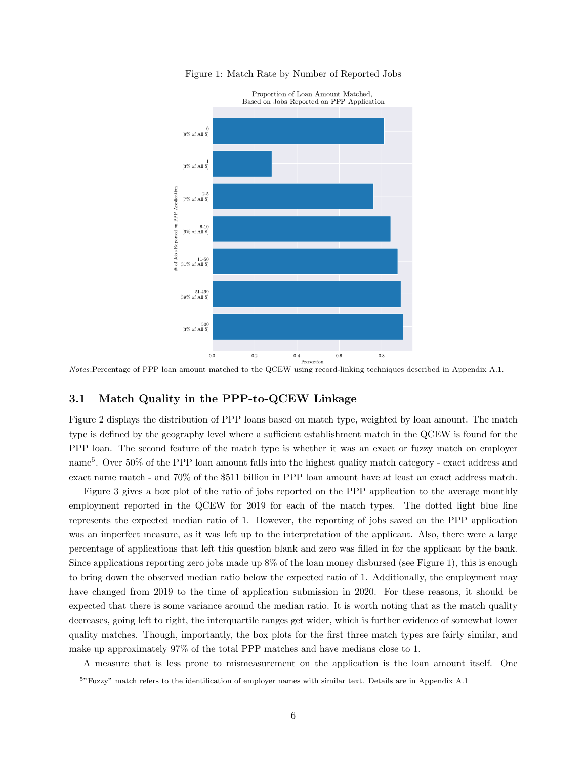

Figure 1: Match Rate by Number of Reported Jobs

# 3.1 Match Quality in the PPP-to-QCEW Linkage

Figure 2 displays the distribution of PPP loans based on match type, weighted by loan amount. The match type is defined by the geography level where a sufficient establishment match in the QCEW is found for the PPP loan. The second feature of the match type is whether it was an exact or fuzzy match on employer name<sup>5</sup>. Over 50% of the PPP loan amount falls into the highest quality match category - exact address and exact name match - and 70% of the \$511 billion in PPP loan amount have at least an exact address match.

Figure 3 gives a box plot of the ratio of jobs reported on the PPP application to the average monthly employment reported in the QCEW for 2019 for each of the match types. The dotted light blue line represents the expected median ratio of 1. However, the reporting of jobs saved on the PPP application was an imperfect measure, as it was left up to the interpretation of the applicant. Also, there were a large percentage of applications that left this question blank and zero was filled in for the applicant by the bank. Since applications reporting zero jobs made up 8% of the loan money disbursed (see Figure 1), this is enough to bring down the observed median ratio below the expected ratio of 1. Additionally, the employment may have changed from 2019 to the time of application submission in 2020. For these reasons, it should be expected that there is some variance around the median ratio. It is worth noting that as the match quality decreases, going left to right, the interquartile ranges get wider, which is further evidence of somewhat lower quality matches. Though, importantly, the box plots for the first three match types are fairly similar, and make up approximately 97% of the total PPP matches and have medians close to 1.

A measure that is less prone to mismeasurement on the application is the loan amount itself. One

Notes:Percentage of PPP loan amount matched to the QCEW using record-linking techniques described in Appendix A.1.

<sup>5</sup>"Fuzzy" match refers to the identification of employer names with similar text. Details are in Appendix A.1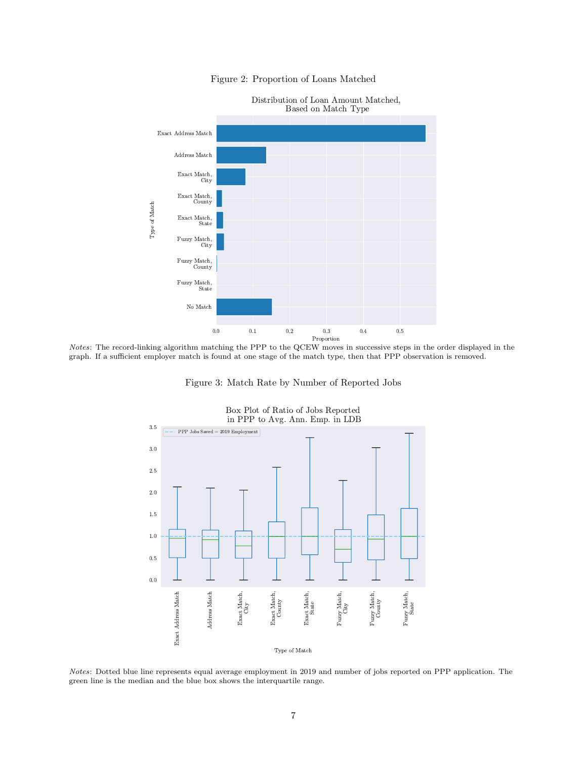

# Figure 2: Proportion of Loans Matched

Notes: The record-linking algorithm matching the PPP to the QCEW moves in successive steps in the order displayed in the graph. If a sufficient employer match is found at one stage of the match type, then that PPP observation is removed.

Figure 3: Match Rate by Number of Reported Jobs





Notes: Dotted blue line represents equal average employment in 2019 and number of jobs reported on PPP application. The green line is the median and the blue box shows the interquartile range.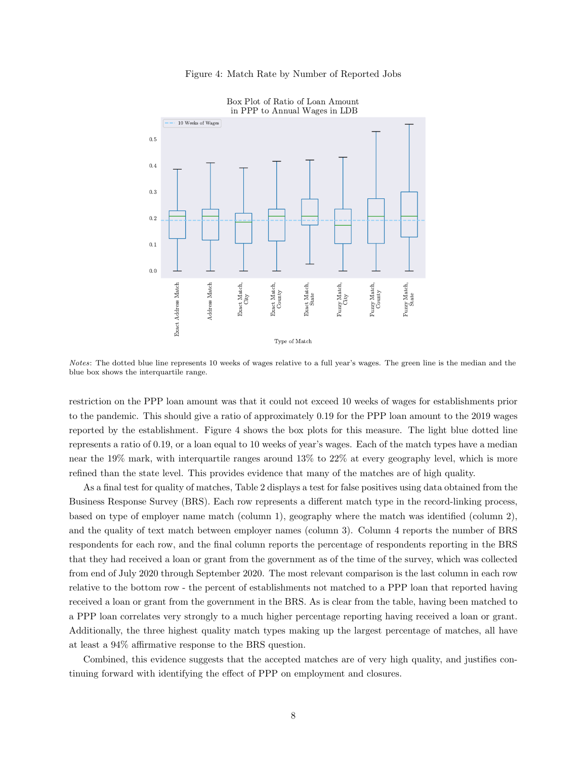

Figure 4: Match Rate by Number of Reported Jobs

Notes: The dotted blue line represents 10 weeks of wages relative to a full year's wages. The green line is the median and the blue box shows the interquartile range.

restriction on the PPP loan amount was that it could not exceed 10 weeks of wages for establishments prior to the pandemic. This should give a ratio of approximately 0.19 for the PPP loan amount to the 2019 wages reported by the establishment. Figure 4 shows the box plots for this measure. The light blue dotted line represents a ratio of 0.19, or a loan equal to 10 weeks of year's wages. Each of the match types have a median near the 19% mark, with interquartile ranges around 13% to 22% at every geography level, which is more refined than the state level. This provides evidence that many of the matches are of high quality.

As a final test for quality of matches, Table 2 displays a test for false positives using data obtained from the Business Response Survey (BRS). Each row represents a different match type in the record-linking process, based on type of employer name match (column 1), geography where the match was identified (column 2), and the quality of text match between employer names (column 3). Column 4 reports the number of BRS respondents for each row, and the final column reports the percentage of respondents reporting in the BRS that they had received a loan or grant from the government as of the time of the survey, which was collected from end of July 2020 through September 2020. The most relevant comparison is the last column in each row relative to the bottom row - the percent of establishments not matched to a PPP loan that reported having received a loan or grant from the government in the BRS. As is clear from the table, having been matched to a PPP loan correlates very strongly to a much higher percentage reporting having received a loan or grant. Additionally, the three highest quality match types making up the largest percentage of matches, all have at least a 94% affirmative response to the BRS question.

Combined, this evidence suggests that the accepted matches are of very high quality, and justifies continuing forward with identifying the effect of PPP on employment and closures.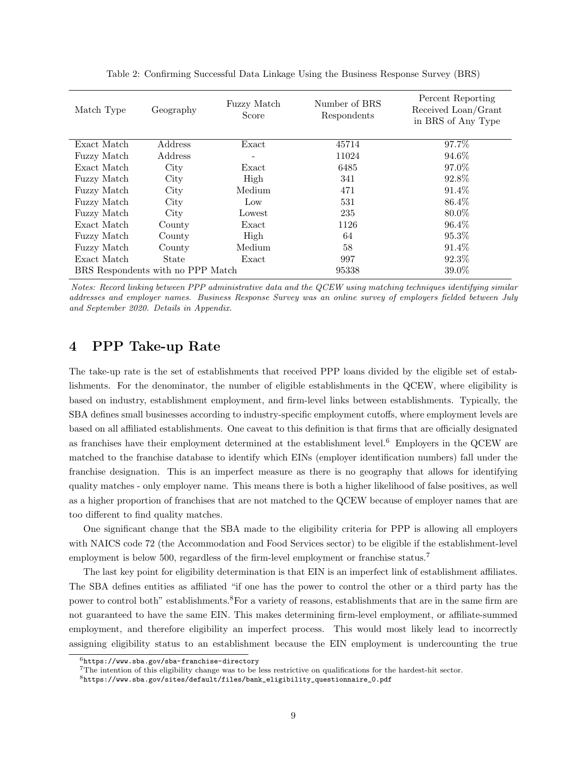| Match Type         | Geography                         | Fuzzy Match<br>Score | Number of BRS<br>Respondents | Percent Reporting<br>Received Loan/Grant<br>in BRS of Any Type |
|--------------------|-----------------------------------|----------------------|------------------------------|----------------------------------------------------------------|
| Exact Match        | Address                           | Exact                | 45714                        | 97.7%                                                          |
| <b>Fuzzy Match</b> | Address                           | $\overline{a}$       | 11024                        | 94.6%                                                          |
| Exact Match        | City                              | Exact                | 6485                         | 97.0%                                                          |
| <b>Fuzzy Match</b> | City                              | High                 | 341                          | 92.8%                                                          |
| Fuzzy Match        | City                              | Medium               | 471                          | 91.4%                                                          |
| <b>Fuzzy Match</b> | City                              | Low                  | 531                          | 86.4%                                                          |
| <b>Fuzzy</b> Match | City                              | Lowest               | 235                          | 80.0%                                                          |
| Exact Match        | County                            | Exact                | 1126                         | 96.4%                                                          |
| Fuzzy Match        | County                            | High                 | 64                           | 95.3%                                                          |
| Fuzzy Match        | County                            | Medium               | 58                           | 91.4\%                                                         |
| Exact Match        | State                             | Exact                | 997                          | 92.3%                                                          |
|                    | BRS Respondents with no PPP Match |                      | 95338                        | 39.0%                                                          |

Table 2: Confirming Successful Data Linkage Using the Business Response Survey (BRS)

Notes: Record linking between PPP administrative data and the QCEW using matching techniques identifying similar addresses and employer names. Business Response Survey was an online survey of employers fielded between July and September 2020. Details in Appendix.

# 4 PPP Take-up Rate

The take-up rate is the set of establishments that received PPP loans divided by the eligible set of establishments. For the denominator, the number of eligible establishments in the QCEW, where eligibility is based on industry, establishment employment, and firm-level links between establishments. Typically, the SBA defines small businesses according to industry-specific employment cutoffs, where employment levels are based on all affiliated establishments. One caveat to this definition is that firms that are officially designated as franchises have their employment determined at the establishment level.<sup>6</sup> Employers in the QCEW are matched to the franchise database to identify which EINs (employer identification numbers) fall under the franchise designation. This is an imperfect measure as there is no geography that allows for identifying quality matches - only employer name. This means there is both a higher likelihood of false positives, as well as a higher proportion of franchises that are not matched to the QCEW because of employer names that are too different to find quality matches.

One significant change that the SBA made to the eligibility criteria for PPP is allowing all employers with NAICS code 72 (the Accommodation and Food Services sector) to be eligible if the establishment-level employment is below 500, regardless of the firm-level employment or franchise status.<sup>7</sup>

The last key point for eligibility determination is that EIN is an imperfect link of establishment affiliates. The SBA defines entities as affiliated "if one has the power to control the other or a third party has the power to control both" establishments.<sup>8</sup>For a variety of reasons, establishments that are in the same firm are not guaranteed to have the same EIN. This makes determining firm-level employment, or affiliate-summed employment, and therefore eligibility an imperfect process. This would most likely lead to incorrectly assigning eligibility status to an establishment because the EIN employment is undercounting the true

 $^6$ https://www.sba.gov/sba-franchise-directory

<sup>7</sup>The intention of this eligibility change was to be less restrictive on qualifications for the hardest-hit sector.

 $8$ https://www.sba.gov/sites/default/files/bank\_eligibility\_questionnaire\_0.pdf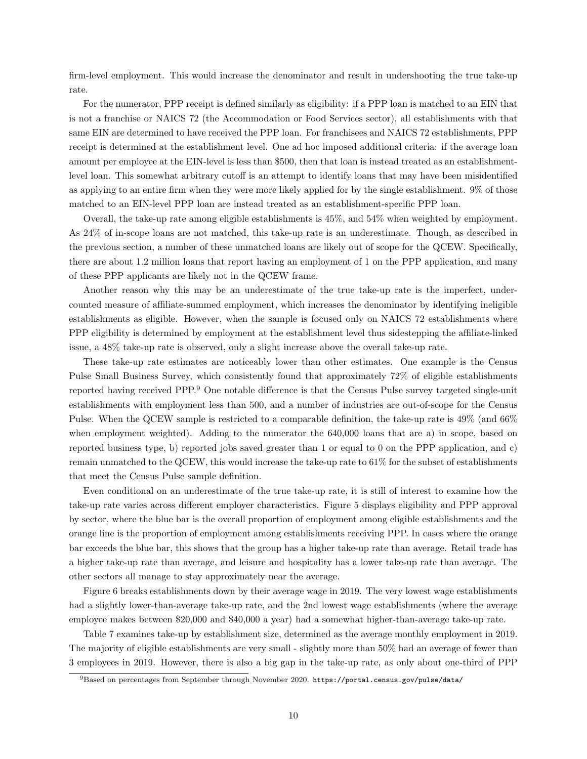firm-level employment. This would increase the denominator and result in undershooting the true take-up rate.

For the numerator, PPP receipt is defined similarly as eligibility: if a PPP loan is matched to an EIN that is not a franchise or NAICS 72 (the Accommodation or Food Services sector), all establishments with that same EIN are determined to have received the PPP loan. For franchisees and NAICS 72 establishments, PPP receipt is determined at the establishment level. One ad hoc imposed additional criteria: if the average loan amount per employee at the EIN-level is less than \$500, then that loan is instead treated as an establishmentlevel loan. This somewhat arbitrary cutoff is an attempt to identify loans that may have been misidentified as applying to an entire firm when they were more likely applied for by the single establishment. 9% of those matched to an EIN-level PPP loan are instead treated as an establishment-specific PPP loan.

Overall, the take-up rate among eligible establishments is 45%, and 54% when weighted by employment. As 24% of in-scope loans are not matched, this take-up rate is an underestimate. Though, as described in the previous section, a number of these unmatched loans are likely out of scope for the QCEW. Specifically, there are about 1.2 million loans that report having an employment of 1 on the PPP application, and many of these PPP applicants are likely not in the QCEW frame.

Another reason why this may be an underestimate of the true take-up rate is the imperfect, undercounted measure of affiliate-summed employment, which increases the denominator by identifying ineligible establishments as eligible. However, when the sample is focused only on NAICS 72 establishments where PPP eligibility is determined by employment at the establishment level thus sidestepping the affiliate-linked issue, a 48% take-up rate is observed, only a slight increase above the overall take-up rate.

These take-up rate estimates are noticeably lower than other estimates. One example is the Census Pulse Small Business Survey, which consistently found that approximately 72% of eligible establishments reported having received PPP.<sup>9</sup> One notable difference is that the Census Pulse survey targeted single-unit establishments with employment less than 500, and a number of industries are out-of-scope for the Census Pulse. When the QCEW sample is restricted to a comparable definition, the take-up rate is 49% (and 66% when employment weighted). Adding to the numerator the 640,000 loans that are a) in scope, based on reported business type, b) reported jobs saved greater than 1 or equal to 0 on the PPP application, and c) remain unmatched to the QCEW, this would increase the take-up rate to 61% for the subset of establishments that meet the Census Pulse sample definition.

Even conditional on an underestimate of the true take-up rate, it is still of interest to examine how the take-up rate varies across different employer characteristics. Figure 5 displays eligibility and PPP approval by sector, where the blue bar is the overall proportion of employment among eligible establishments and the orange line is the proportion of employment among establishments receiving PPP. In cases where the orange bar exceeds the blue bar, this shows that the group has a higher take-up rate than average. Retail trade has a higher take-up rate than average, and leisure and hospitality has a lower take-up rate than average. The other sectors all manage to stay approximately near the average.

Figure 6 breaks establishments down by their average wage in 2019. The very lowest wage establishments had a slightly lower-than-average take-up rate, and the 2nd lowest wage establishments (where the average employee makes between \$20,000 and \$40,000 a year) had a somewhat higher-than-average take-up rate.

Table 7 examines take-up by establishment size, determined as the average monthly employment in 2019. The majority of eligible establishments are very small - slightly more than 50% had an average of fewer than 3 employees in 2019. However, there is also a big gap in the take-up rate, as only about one-third of PPP

 $^{9}\rm{Based}$  on percentages from September through November 2020. https://portal.census.gov/pulse/data/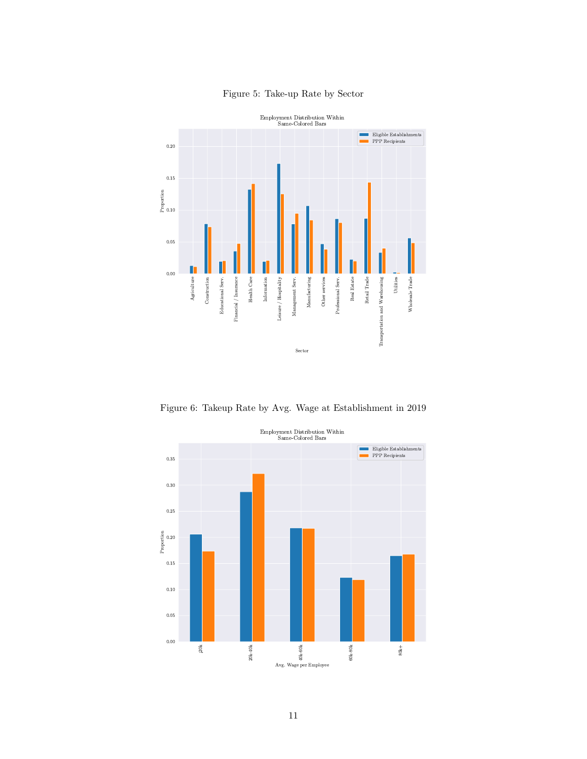

# Figure 5: Take-up Rate by Sector

Figure 6: Takeup Rate by Avg. Wage at Establishment in 2019

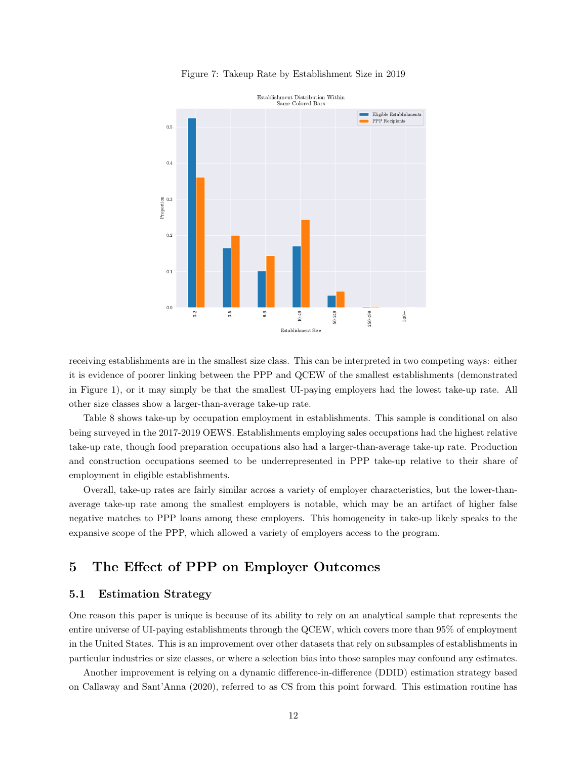

Figure 7: Takeup Rate by Establishment Size in 2019

receiving establishments are in the smallest size class. This can be interpreted in two competing ways: either it is evidence of poorer linking between the PPP and QCEW of the smallest establishments (demonstrated in Figure 1), or it may simply be that the smallest UI-paying employers had the lowest take-up rate. All other size classes show a larger-than-average take-up rate.

Table 8 shows take-up by occupation employment in establishments. This sample is conditional on also being surveyed in the 2017-2019 OEWS. Establishments employing sales occupations had the highest relative take-up rate, though food preparation occupations also had a larger-than-average take-up rate. Production and construction occupations seemed to be underrepresented in PPP take-up relative to their share of employment in eligible establishments.

Overall, take-up rates are fairly similar across a variety of employer characteristics, but the lower-thanaverage take-up rate among the smallest employers is notable, which may be an artifact of higher false negative matches to PPP loans among these employers. This homogeneity in take-up likely speaks to the expansive scope of the PPP, which allowed a variety of employers access to the program.

# 5 The Effect of PPP on Employer Outcomes

# 5.1 Estimation Strategy

One reason this paper is unique is because of its ability to rely on an analytical sample that represents the entire universe of UI-paying establishments through the QCEW, which covers more than 95% of employment in the United States. This is an improvement over other datasets that rely on subsamples of establishments in particular industries or size classes, or where a selection bias into those samples may confound any estimates.

Another improvement is relying on a dynamic difference-in-difference (DDID) estimation strategy based on Callaway and Sant'Anna (2020), referred to as CS from this point forward. This estimation routine has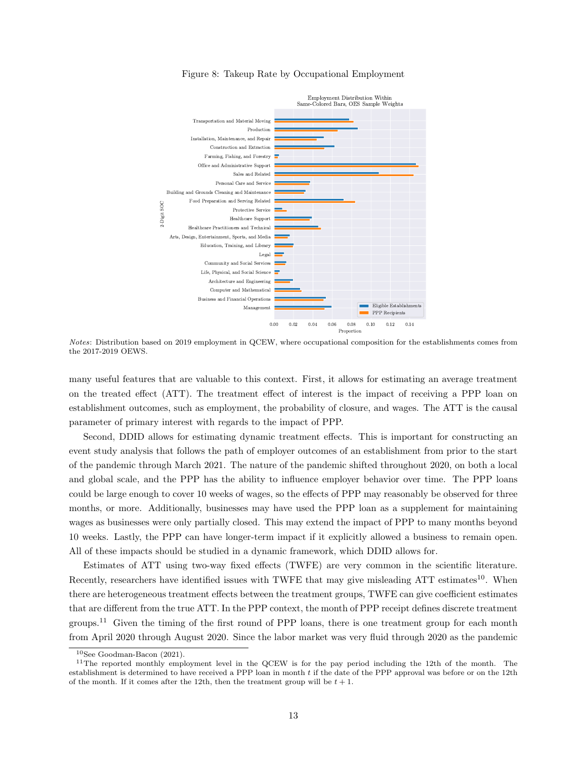

### Figure 8: Takeup Rate by Occupational Employment

Notes: Distribution based on 2019 employment in QCEW, where occupational composition for the establishments comes from the 2017-2019 OEWS.

many useful features that are valuable to this context. First, it allows for estimating an average treatment on the treated effect (ATT). The treatment effect of interest is the impact of receiving a PPP loan on establishment outcomes, such as employment, the probability of closure, and wages. The ATT is the causal parameter of primary interest with regards to the impact of PPP.

Second, DDID allows for estimating dynamic treatment effects. This is important for constructing an event study analysis that follows the path of employer outcomes of an establishment from prior to the start of the pandemic through March 2021. The nature of the pandemic shifted throughout 2020, on both a local and global scale, and the PPP has the ability to influence employer behavior over time. The PPP loans could be large enough to cover 10 weeks of wages, so the effects of PPP may reasonably be observed for three months, or more. Additionally, businesses may have used the PPP loan as a supplement for maintaining wages as businesses were only partially closed. This may extend the impact of PPP to many months beyond 10 weeks. Lastly, the PPP can have longer-term impact if it explicitly allowed a business to remain open. All of these impacts should be studied in a dynamic framework, which DDID allows for.

Estimates of ATT using two-way fixed effects (TWFE) are very common in the scientific literature. Recently, researchers have identified issues with TWFE that may give misleading ATT estimates<sup>10</sup>. When there are heterogeneous treatment effects between the treatment groups, TWFE can give coefficient estimates that are different from the true ATT. In the PPP context, the month of PPP receipt defines discrete treatment groups.<sup>11</sup> Given the timing of the first round of PPP loans, there is one treatment group for each month from April 2020 through August 2020. Since the labor market was very fluid through 2020 as the pandemic

<sup>10</sup>See Goodman-Bacon (2021).

 $11$ The reported monthly employment level in the QCEW is for the pay period including the 12th of the month. The establishment is determined to have received a PPP loan in month t if the date of the PPP approval was before or on the 12th of the month. If it comes after the 12th, then the treatment group will be  $t + 1$ .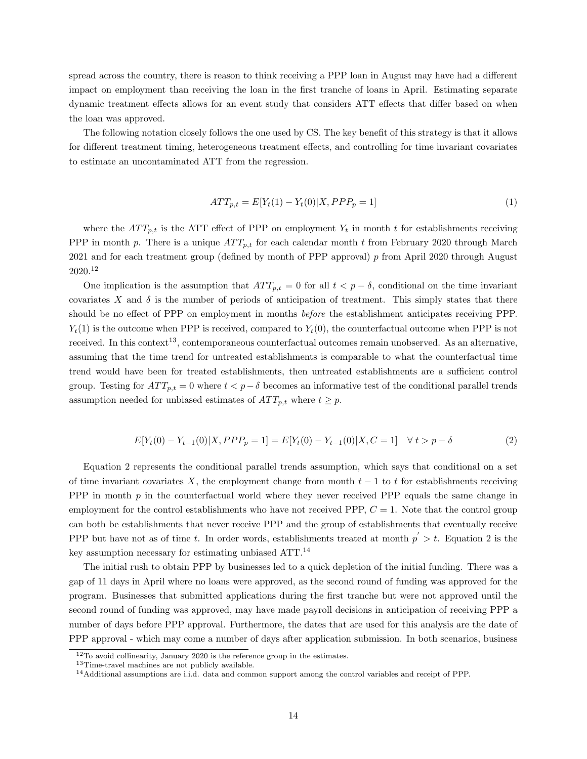spread across the country, there is reason to think receiving a PPP loan in August may have had a different impact on employment than receiving the loan in the first tranche of loans in April. Estimating separate dynamic treatment effects allows for an event study that considers ATT effects that differ based on when the loan was approved.

The following notation closely follows the one used by CS. The key benefit of this strategy is that it allows for different treatment timing, heterogeneous treatment effects, and controlling for time invariant covariates to estimate an uncontaminated ATT from the regression.

$$
ATT_{p,t} = E[Y_t(1) - Y_t(0)|X, PPP_p = 1]
$$
\n(1)

where the  $ATT_{p,t}$  is the ATT effect of PPP on employment  $Y_t$  in month t for establishments receiving PPP in month p. There is a unique  $ATT_{p,t}$  for each calendar month t from February 2020 through March 2021 and for each treatment group (defined by month of PPP approval) p from April 2020 through August 2020.<sup>12</sup>

One implication is the assumption that  $ATT_{p,t} = 0$  for all  $t < p - \delta$ , conditional on the time invariant covariates X and  $\delta$  is the number of periods of anticipation of treatment. This simply states that there should be no effect of PPP on employment in months before the establishment anticipates receiving PPP.  $Y_t(1)$  is the outcome when PPP is received, compared to  $Y_t(0)$ , the counterfactual outcome when PPP is not received. In this context<sup>13</sup>, contemporaneous counterfactual outcomes remain unobserved. As an alternative, assuming that the time trend for untreated establishments is comparable to what the counterfactual time trend would have been for treated establishments, then untreated establishments are a sufficient control group. Testing for  $ATT_{p,t} = 0$  where  $t < p-\delta$  becomes an informative test of the conditional parallel trends assumption needed for unbiased estimates of  $ATT_{p,t}$  where  $t \geq p$ .

$$
E[Y_t(0) - Y_{t-1}(0)|X, PPP_p = 1] = E[Y_t(0) - Y_{t-1}(0)|X, C = 1] \quad \forall \ t > p - \delta
$$
\n<sup>(2)</sup>

Equation 2 represents the conditional parallel trends assumption, which says that conditional on a set of time invariant covariates X, the employment change from month  $t - 1$  to t for establishments receiving PPP in month  $p$  in the counterfactual world where they never received PPP equals the same change in employment for the control establishments who have not received PPP,  $C = 1$ . Note that the control group can both be establishments that never receive PPP and the group of establishments that eventually receive PPP but have not as of time t. In order words, establishments treated at month  $p' > t$ . Equation 2 is the key assumption necessary for estimating unbiased ATT.<sup>14</sup>

The initial rush to obtain PPP by businesses led to a quick depletion of the initial funding. There was a gap of 11 days in April where no loans were approved, as the second round of funding was approved for the program. Businesses that submitted applications during the first tranche but were not approved until the second round of funding was approved, may have made payroll decisions in anticipation of receiving PPP a number of days before PPP approval. Furthermore, the dates that are used for this analysis are the date of PPP approval - which may come a number of days after application submission. In both scenarios, business

 $12$ To avoid collinearity, January 2020 is the reference group in the estimates.

<sup>13</sup>Time-travel machines are not publicly available.

<sup>14</sup>Additional assumptions are i.i.d. data and common support among the control variables and receipt of PPP.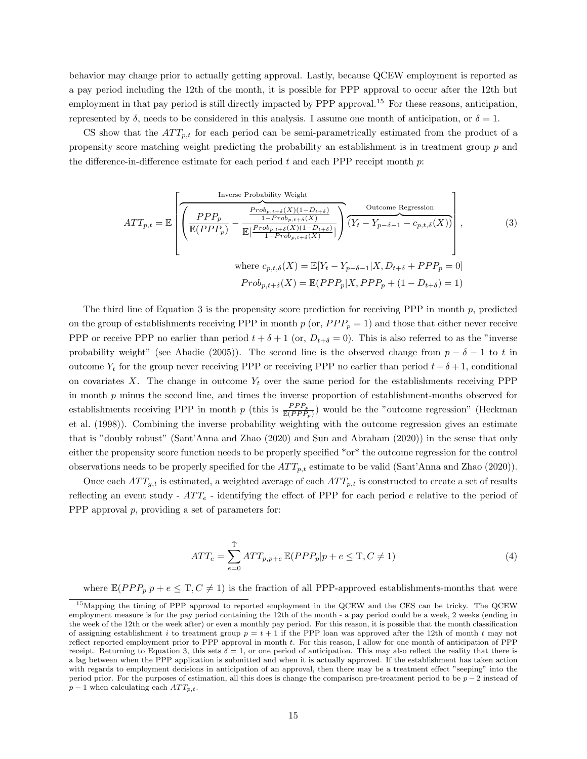behavior may change prior to actually getting approval. Lastly, because QCEW employment is reported as a pay period including the 12th of the month, it is possible for PPP approval to occur after the 12th but employment in that pay period is still directly impacted by PPP approval.<sup>15</sup> For these reasons, anticipation, represented by  $\delta$ , needs to be considered in this analysis. I assume one month of anticipation, or  $\delta = 1$ .

CS show that the  $ATT_{p,t}$  for each period can be semi-parametrically estimated from the product of a propensity score matching weight predicting the probability an establishment is in treatment group p and the difference-in-difference estimate for each period t and each PPP receipt month  $p$ :

$$
ATT_{p,t} = \mathbb{E}\left[\frac{\frac{\text{Inverse Probability Weight}}{\mathbb{E}(PPP_p)} - \frac{\frac{Prob_{p,t+\delta}(X)(1-D_{t+\delta})}{1-Prob_{p,t+\delta}(X)}}{\mathbb{E}[\frac{Prob_{p,t+\delta}(X)(1-D_{t+\delta})}{1-Prob_{p,t+\delta}(X)}]\right)} \frac{\text{Outcome Regression}}{(Y_t - Y_{p-\delta-1} - c_{p,t,\delta}(X))}\right],\tag{3}
$$
  
where  $c_{p,t,\delta}(X) = \mathbb{E}[Y_t - Y_{p-\delta-1}|X, D_{t+\delta} + PPP_p = 0]$   

$$
Prob_{p,t+\delta}(X) = \mathbb{E}(PPP_p|X, PPP_p + (1 - D_{t+\delta}) = 1)
$$

The third line of Equation 3 is the propensity score prediction for receiving PPP in month  $p$ , predicted on the group of establishments receiving PPP in month  $p$  (or,  $PP_p = 1$ ) and those that either never receive PPP or receive PPP no earlier than period  $t + \delta + 1$  (or,  $D_{t+\delta} = 0$ ). This is also referred to as the "inverse probability weight" (see Abadie (2005)). The second line is the observed change from  $p - \delta - 1$  to t in outcome  $Y_t$  for the group never receiving PPP or receiving PPP no earlier than period  $t + \delta + 1$ , conditional on covariates X. The change in outcome  $Y_t$  over the same period for the establishments receiving PPP in month  $p$  minus the second line, and times the inverse proportion of establishment-months observed for establishments receiving PPP in month p (this is  $\frac{PPP_p}{\mathbb{E}(PPP_p)}$ ) would be the "outcome regression" (Heckman et al. (1998)). Combining the inverse probability weighting with the outcome regression gives an estimate that is "doubly robust" (Sant'Anna and Zhao (2020) and Sun and Abraham (2020)) in the sense that only either the propensity score function needs to be properly specified \*or\* the outcome regression for the control observations needs to be properly specified for the  $ATT_{p,t}$  estimate to be valid (Sant'Anna and Zhao (2020)).

Once each  $ATT_{q,t}$  is estimated, a weighted average of each  $ATT_{p,t}$  is constructed to create a set of results reflecting an event study -  $ATT_e$  - identifying the effect of PPP for each period e relative to the period of PPP approval  $p$ , providing a set of parameters for:

$$
ATT_e = \sum_{e=0}^{\tilde{T}} ATT_{p,p+e} \mathbb{E}(PPP_p|p+e \leq T, C \neq 1)
$$
\n(4)

where  $\mathbb{E}(PPP_p|p+e\leq T, C\neq 1)$  is the fraction of all PPP-approved establishments-months that were

<sup>&</sup>lt;sup>15</sup>Mapping the timing of PPP approval to reported employment in the QCEW and the CES can be tricky. The QCEW employment measure is for the pay period containing the 12th of the month - a pay period could be a week, 2 weeks (ending in the week of the 12th or the week after) or even a monthly pay period. For this reason, it is possible that the month classification of assigning establishment i to treatment group  $p = t + 1$  if the PPP loan was approved after the 12th of month t may not reflect reported employment prior to PPP approval in month t. For this reason, I allow for one month of anticipation of PPP receipt. Returning to Equation 3, this sets  $\delta = 1$ , or one period of anticipation. This may also reflect the reality that there is a lag between when the PPP application is submitted and when it is actually approved. If the establishment has taken action with regards to employment decisions in anticipation of an approval, then there may be a treatment effect "seeping" into the period prior. For the purposes of estimation, all this does is change the comparison pre-treatment period to be p − 2 instead of  $p-1$  when calculating each  $ATT_{p,t}$ .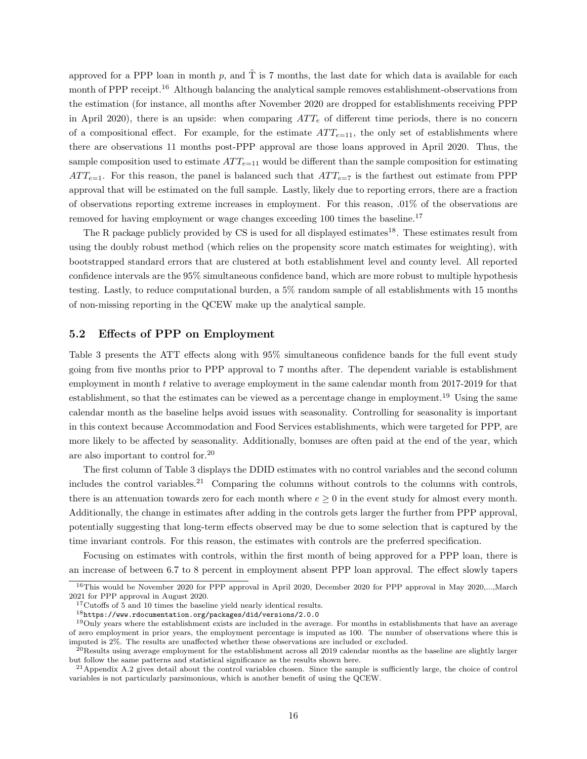approved for a PPP loan in month p, and  $\tilde{T}$  is 7 months, the last date for which data is available for each month of PPP receipt.<sup>16</sup> Although balancing the analytical sample removes establishment-observations from the estimation (for instance, all months after November 2020 are dropped for establishments receiving PPP in April 2020), there is an upside: when comparing  $ATT_e$  of different time periods, there is no concern of a compositional effect. For example, for the estimate  $ATT_{e=11}$ , the only set of establishments where there are observations 11 months post-PPP approval are those loans approved in April 2020. Thus, the sample composition used to estimate  $ATT_{e=11}$  would be different than the sample composition for estimating  $ATT_{e=1}$ . For this reason, the panel is balanced such that  $ATT_{e=7}$  is the farthest out estimate from PPP approval that will be estimated on the full sample. Lastly, likely due to reporting errors, there are a fraction of observations reporting extreme increases in employment. For this reason, .01% of the observations are removed for having employment or wage changes exceeding 100 times the baseline.<sup>17</sup>

The R package publicly provided by CS is used for all displayed estimates<sup>18</sup>. These estimates result from using the doubly robust method (which relies on the propensity score match estimates for weighting), with bootstrapped standard errors that are clustered at both establishment level and county level. All reported confidence intervals are the 95% simultaneous confidence band, which are more robust to multiple hypothesis testing. Lastly, to reduce computational burden, a 5% random sample of all establishments with 15 months of non-missing reporting in the QCEW make up the analytical sample.

### 5.2 Effects of PPP on Employment

Table 3 presents the ATT effects along with 95% simultaneous confidence bands for the full event study going from five months prior to PPP approval to 7 months after. The dependent variable is establishment employment in month  $t$  relative to average employment in the same calendar month from 2017-2019 for that establishment, so that the estimates can be viewed as a percentage change in employment.<sup>19</sup> Using the same calendar month as the baseline helps avoid issues with seasonality. Controlling for seasonality is important in this context because Accommodation and Food Services establishments, which were targeted for PPP, are more likely to be affected by seasonality. Additionally, bonuses are often paid at the end of the year, which are also important to control for.<sup>20</sup>

The first column of Table 3 displays the DDID estimates with no control variables and the second column includes the control variables.<sup>21</sup> Comparing the columns without controls to the columns with controls, there is an attenuation towards zero for each month where  $e \ge 0$  in the event study for almost every month. Additionally, the change in estimates after adding in the controls gets larger the further from PPP approval, potentially suggesting that long-term effects observed may be due to some selection that is captured by the time invariant controls. For this reason, the estimates with controls are the preferred specification.

Focusing on estimates with controls, within the first month of being approved for a PPP loan, there is an increase of between 6.7 to 8 percent in employment absent PPP loan approval. The effect slowly tapers

<sup>&</sup>lt;sup>16</sup>This would be November 2020 for PPP approval in April 2020, December 2020 for PPP approval in May 2020,...,March 2021 for PPP approval in August 2020.

<sup>&</sup>lt;sup>17</sup>Cutoffs of 5 and 10 times the baseline yield nearly identical results.

<sup>18</sup>https://www.rdocumentation.org/packages/did/versions/2.0.0

 $19$ Only years where the establishment exists are included in the average. For months in establishments that have an average of zero employment in prior years, the employment percentage is imputed as 100. The number of observations where this is imputed is 2%. The results are unaffected whether these observations are included or excluded.

 $^{20}$ Results using average employment for the establishment across all 2019 calendar months as the baseline are slightly larger but follow the same patterns and statistical significance as the results shown here.

 $21$ Appendix A.2 gives detail about the control variables chosen. Since the sample is sufficiently large, the choice of control variables is not particularly parsimonious, which is another benefit of using the QCEW.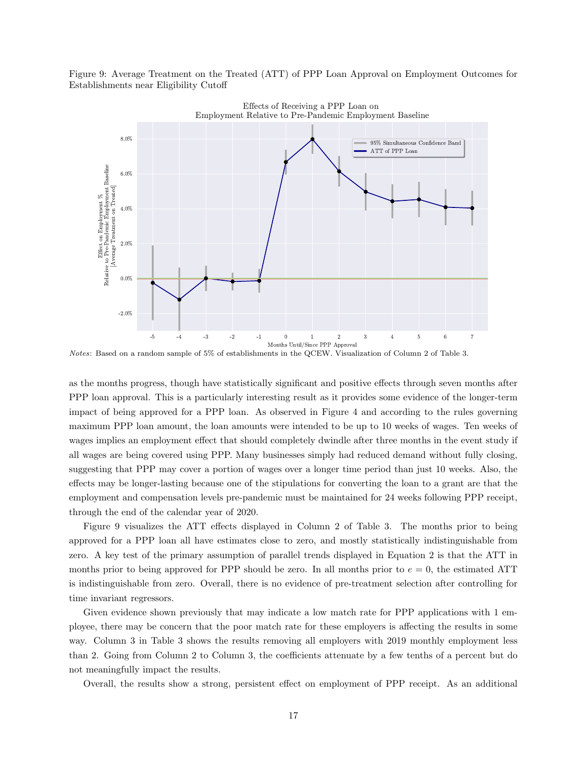Figure 9: Average Treatment on the Treated (ATT) of PPP Loan Approval on Employment Outcomes for Establishments near Eligibility Cutoff



Notes: Based on a random sample of 5% of establishments in the QCEW. Visualization of Column 2 of Table 3.

as the months progress, though have statistically significant and positive effects through seven months after PPP loan approval. This is a particularly interesting result as it provides some evidence of the longer-term impact of being approved for a PPP loan. As observed in Figure 4 and according to the rules governing maximum PPP loan amount, the loan amounts were intended to be up to 10 weeks of wages. Ten weeks of wages implies an employment effect that should completely dwindle after three months in the event study if all wages are being covered using PPP. Many businesses simply had reduced demand without fully closing, suggesting that PPP may cover a portion of wages over a longer time period than just 10 weeks. Also, the effects may be longer-lasting because one of the stipulations for converting the loan to a grant are that the employment and compensation levels pre-pandemic must be maintained for 24 weeks following PPP receipt, through the end of the calendar year of 2020.

Figure 9 visualizes the ATT effects displayed in Column 2 of Table 3. The months prior to being approved for a PPP loan all have estimates close to zero, and mostly statistically indistinguishable from zero. A key test of the primary assumption of parallel trends displayed in Equation 2 is that the ATT in months prior to being approved for PPP should be zero. In all months prior to  $e = 0$ , the estimated ATT is indistinguishable from zero. Overall, there is no evidence of pre-treatment selection after controlling for time invariant regressors.

Given evidence shown previously that may indicate a low match rate for PPP applications with 1 employee, there may be concern that the poor match rate for these employers is affecting the results in some way. Column 3 in Table 3 shows the results removing all employers with 2019 monthly employment less than 2. Going from Column 2 to Column 3, the coefficients attenuate by a few tenths of a percent but do not meaningfully impact the results.

Overall, the results show a strong, persistent effect on employment of PPP receipt. As an additional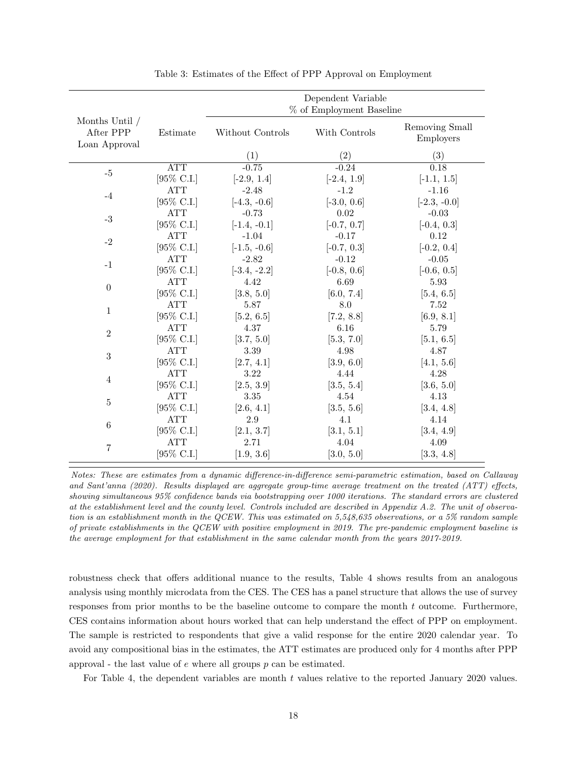|                                              |                       |                  | Dependent Variable       |                             |
|----------------------------------------------|-----------------------|------------------|--------------------------|-----------------------------|
|                                              |                       |                  | % of Employment Baseline |                             |
| Months Until /<br>After PPP<br>Loan Approval | Estimate              | Without Controls | With Controls            | Removing Small<br>Employers |
|                                              |                       | (1)              | (2)                      | (3)                         |
| $-5$                                         | <b>ATT</b>            | $-0.75$          | $-0.24$                  | 0.18                        |
|                                              | [95% C.I.]            | $[-2.9, 1.4]$    | $[-2.4, 1.9]$            | $[-1.1, 1.5]$               |
|                                              | <b>ATT</b>            | $-2.48$          | $-1.2$                   | $-1.16$                     |
| $-4$                                         | [95% C.I.]            | $[-4.3, -0.6]$   | $[-3.0, 0.6]$            | $[-2.3, -0.0]$              |
| $-3$                                         | <b>ATT</b>            | $-0.73$          | 0.02                     | $-0.03$                     |
|                                              | [95% C.I.]            | $[-1.4, -0.1]$   | $[-0.7, 0.7]$            | $[-0.4, 0.3]$               |
|                                              | <b>ATT</b>            | $-1.04$          | $-0.17$                  | 0.12                        |
| $-2$                                         | [95% C.I.]            | $[-1.5, -0.6]$   | $[-0.7, 0.3]$            | $[-0.2, 0.4]$               |
|                                              | <b>ATT</b>            | $-2.82$          | $-0.12$                  | $-0.05$                     |
| $-1$                                         | [95\% C.I.]           | $[-3.4, -2.2]$   | $[-0.8, 0.6]$            | $[-0.6, 0.5]$               |
| $\theta$                                     | <b>ATT</b>            | 4.42             | 6.69                     | 5.93                        |
|                                              | [95\% C.I.]           | [3.8, 5.0]       | [6.0, 7.4]               | [5.4, 6.5]                  |
|                                              | <b>ATT</b>            | 5.87             | 8.0                      | 7.52                        |
| 1                                            | [95% C.I.]            | [5.2, 6.5]       | [7.2, 8.8]               | [6.9, 8.1]                  |
|                                              | <b>ATT</b>            | 4.37             | 6.16                     | 5.79                        |
| $\overline{2}$                               | [95% C.I.]            | [3.7, 5.0]       | [5.3, 7.0]               | [5.1, 6.5]                  |
|                                              | <b>ATT</b>            | 3.39             | 4.98                     | 4.87                        |
| 3                                            | [95\% C.I.]           | [2.7, 4.1]       | [3.9, 6.0]               | [4.1, 5.6]                  |
|                                              | <b>ATT</b>            | 3.22             | 4.44                     | 4.28                        |
| 4                                            | $[95\% \text{ C.I.}]$ | [2.5, 3.9]       | [3.5, 5.4]               | [3.6, 5.0]                  |
|                                              | <b>ATT</b>            | 3.35             | 4.54                     | 4.13                        |
| 5                                            | [95% C.I.]            | [2.6, 4.1]       | [3.5, 5.6]               | [3.4, 4.8]                  |
|                                              | <b>ATT</b>            | 2.9              | 4.1                      | 4.14                        |
| 6                                            | [95\% C.I.]           | [2.1, 3.7]       | [3.1, 5.1]               | [3.4, 4.9]                  |
|                                              | <b>ATT</b>            | 2.71             | 4.04                     | 4.09                        |
| 7                                            | [95% C.I.]            | [1.9, 3.6]       | [3.0, 5.0]               | [3.3, 4.8]                  |

Table 3: Estimates of the Effect of PPP Approval on Employment

Notes: These are estimates from a dynamic difference-in-difference semi-parametric estimation, based on Callaway and Sant'anna (2020). Results displayed are aggregate group-time average treatment on the treated (ATT) effects, showing simultaneous 95% confidence bands via bootstrapping over 1000 iterations. The standard errors are clustered at the establishment level and the county level. Controls included are described in Appendix A.2. The unit of observation is an establishment month in the QCEW. This was estimated on 5,548,635 observations, or a 5% random sample of private establishments in the QCEW with positive employment in 2019. The pre-pandemic employment baseline is the average employment for that establishment in the same calendar month from the years 2017-2019.

robustness check that offers additional nuance to the results, Table 4 shows results from an analogous analysis using monthly microdata from the CES. The CES has a panel structure that allows the use of survey responses from prior months to be the baseline outcome to compare the month  $t$  outcome. Furthermore, CES contains information about hours worked that can help understand the effect of PPP on employment. The sample is restricted to respondents that give a valid response for the entire 2020 calendar year. To avoid any compositional bias in the estimates, the ATT estimates are produced only for 4 months after PPP approval - the last value of  $e$  where all groups  $p$  can be estimated.

For Table 4, the dependent variables are month  $t$  values relative to the reported January 2020 values.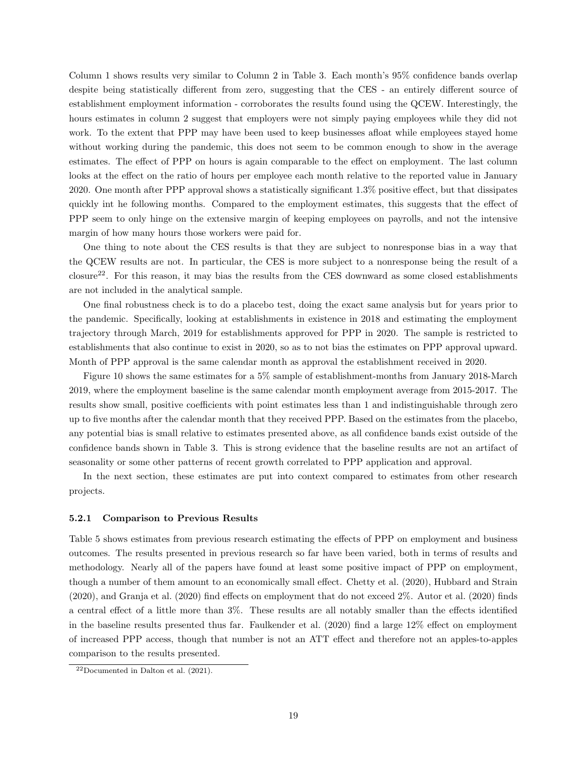Column 1 shows results very similar to Column 2 in Table 3. Each month's 95% confidence bands overlap despite being statistically different from zero, suggesting that the CES - an entirely different source of establishment employment information - corroborates the results found using the QCEW. Interestingly, the hours estimates in column 2 suggest that employers were not simply paying employees while they did not work. To the extent that PPP may have been used to keep businesses afloat while employees stayed home without working during the pandemic, this does not seem to be common enough to show in the average estimates. The effect of PPP on hours is again comparable to the effect on employment. The last column looks at the effect on the ratio of hours per employee each month relative to the reported value in January 2020. One month after PPP approval shows a statistically significant 1.3% positive effect, but that dissipates quickly int he following months. Compared to the employment estimates, this suggests that the effect of PPP seem to only hinge on the extensive margin of keeping employees on payrolls, and not the intensive margin of how many hours those workers were paid for.

One thing to note about the CES results is that they are subject to nonresponse bias in a way that the QCEW results are not. In particular, the CES is more subject to a nonresponse being the result of a closure22. For this reason, it may bias the results from the CES downward as some closed establishments are not included in the analytical sample.

One final robustness check is to do a placebo test, doing the exact same analysis but for years prior to the pandemic. Specifically, looking at establishments in existence in 2018 and estimating the employment trajectory through March, 2019 for establishments approved for PPP in 2020. The sample is restricted to establishments that also continue to exist in 2020, so as to not bias the estimates on PPP approval upward. Month of PPP approval is the same calendar month as approval the establishment received in 2020.

Figure 10 shows the same estimates for a 5% sample of establishment-months from January 2018-March 2019, where the employment baseline is the same calendar month employment average from 2015-2017. The results show small, positive coefficients with point estimates less than 1 and indistinguishable through zero up to five months after the calendar month that they received PPP. Based on the estimates from the placebo, any potential bias is small relative to estimates presented above, as all confidence bands exist outside of the confidence bands shown in Table 3. This is strong evidence that the baseline results are not an artifact of seasonality or some other patterns of recent growth correlated to PPP application and approval.

In the next section, these estimates are put into context compared to estimates from other research projects.

#### 5.2.1 Comparison to Previous Results

Table 5 shows estimates from previous research estimating the effects of PPP on employment and business outcomes. The results presented in previous research so far have been varied, both in terms of results and methodology. Nearly all of the papers have found at least some positive impact of PPP on employment, though a number of them amount to an economically small effect. Chetty et al. (2020), Hubbard and Strain (2020), and Granja et al. (2020) find effects on employment that do not exceed 2%. Autor et al. (2020) finds a central effect of a little more than 3%. These results are all notably smaller than the effects identified in the baseline results presented thus far. Faulkender et al. (2020) find a large 12% effect on employment of increased PPP access, though that number is not an ATT effect and therefore not an apples-to-apples comparison to the results presented.

 $22Documented$  in Dalton et al. (2021).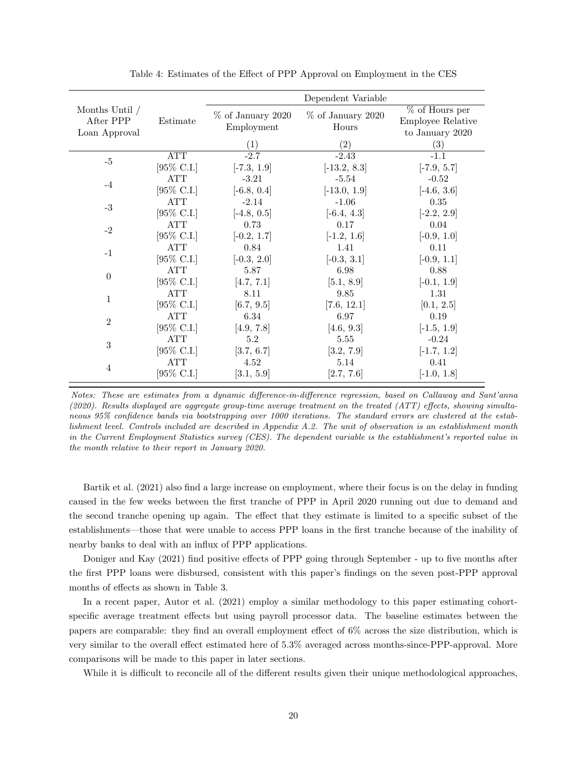|                                              |                       |                                    | Dependent Variable           |                                                          |
|----------------------------------------------|-----------------------|------------------------------------|------------------------------|----------------------------------------------------------|
| Months Until /<br>After PPP<br>Loan Approval | Estimate              | $\%$ of January 2020<br>Employment | $%$ of January 2020<br>Hours | $%$ of Hours per<br>Employee Relative<br>to January 2020 |
|                                              |                       | $\left( 1\right)$                  | (2)                          | $\left(3\right)$                                         |
| $-5$                                         | <b>ATT</b>            | $-2.7$                             | $-2.43$                      | $-1.1$                                                   |
|                                              | [95\% C.I.]           | $[-7.3, 1.9]$                      | $[-13.2, 8.3]$               | $[-7.9, 5.7]$                                            |
| $-4$                                         | <b>ATT</b>            | $-3.21$                            | $-5.54$                      | $-0.52$                                                  |
|                                              | $[95\% \text{ C.I.}]$ | $[-6.8, 0.4]$                      | $[-13.0, 1.9]$               | $[-4.6, 3.6]$                                            |
| $-3$                                         | ATT                   | $-2.14$                            | $-1.06$                      | 0.35                                                     |
|                                              | $[95\% \text{ C.I.}]$ | $[-4.8, 0.5]$                      | $[-6.4, 4.3]$                | $[-2.2, 2.9]$                                            |
| $-2$                                         | ATT                   | 0.73                               | 0.17                         | 0.04                                                     |
|                                              | [95\% C.I.]           | $[-0.2, 1.7]$                      | $[-1.2, 1.6]$                | $[-0.9, 1.0]$                                            |
| $-1$                                         | <b>ATT</b>            | 0.84                               | 1.41                         | 0.11                                                     |
|                                              | [95\% C.I.]           | $[-0.3, 2.0]$                      | $[-0.3, 3.1]$                | $[-0.9, 1.1]$                                            |
|                                              | <b>ATT</b>            | 5.87                               | 6.98                         | 0.88                                                     |
| $\overline{0}$                               | [95\% C.I.]           | [4.7, 7.1]                         | [5.1, 8.9]                   | $[-0.1, 1.9]$                                            |
|                                              | ATT                   | 8.11                               | 9.85                         | 1.31                                                     |
| $\mathbf{1}$                                 | [95\% C.I.]           | [6.7, 9.5]                         | [7.6, 12.1]                  | [0.1, 2.5]                                               |
|                                              | <b>ATT</b>            | 6.34                               | 6.97                         | 0.19                                                     |
| $\overline{2}$                               | [95\% C.I.]           | [4.9, 7.8]                         | [4.6, 9.3]                   | $[-1.5, 1.9]$                                            |
|                                              | ATT                   | 5.2                                | 5.55                         | $-0.24$                                                  |
| 3                                            | [95\% C.I.]           | [3.7, 6.7]                         | [3.2, 7.9]                   | $[-1.7, 1.2]$                                            |
|                                              | <b>ATT</b>            | 4.52                               | 5.14                         | 0.41                                                     |
| $\overline{4}$                               | [95% C.I.]            | [3.1, 5.9]                         | [2.7, 7.6]                   | $[-1.0, 1.8]$                                            |

Table 4: Estimates of the Effect of PPP Approval on Employment in the CES

Bartik et al. (2021) also find a large increase on employment, where their focus is on the delay in funding caused in the few weeks between the first tranche of PPP in April 2020 running out due to demand and the second tranche opening up again. The effect that they estimate is limited to a specific subset of the establishments—those that were unable to access PPP loans in the first tranche because of the inability of nearby banks to deal with an influx of PPP applications.

Doniger and Kay (2021) find positive effects of PPP going through September - up to five months after the first PPP loans were disbursed, consistent with this paper's findings on the seven post-PPP approval months of effects as shown in Table 3.

In a recent paper, Autor et al. (2021) employ a similar methodology to this paper estimating cohortspecific average treatment effects but using payroll processor data. The baseline estimates between the papers are comparable: they find an overall employment effect of 6% across the size distribution, which is very similar to the overall effect estimated here of 5.3% averaged across months-since-PPP-approval. More comparisons will be made to this paper in later sections.

While it is difficult to reconcile all of the different results given their unique methodological approaches,

Notes: These are estimates from a dynamic difference-in-difference regression, based on Callaway and Sant'anna (2020). Results displayed are aggregate group-time average treatment on the treated (ATT) effects, showing simultaneous 95% confidence bands via bootstrapping over 1000 iterations. The standard errors are clustered at the establishment level. Controls included are described in Appendix A.2. The unit of observation is an establishment month in the Current Employment Statistics survey (CES). The dependent variable is the establishment's reported value in the month relative to their report in January 2020.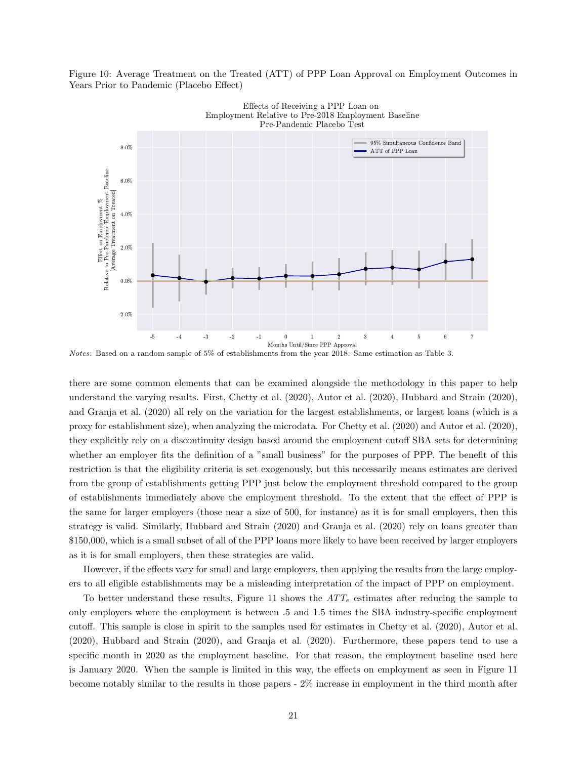Figure 10: Average Treatment on the Treated (ATT) of PPP Loan Approval on Employment Outcomes in Years Prior to Pandemic (Placebo Effect)



Notes: Based on a random sample of 5% of establishments from the year 2018. Same estimation as Table 3.

there are some common elements that can be examined alongside the methodology in this paper to help understand the varying results. First, Chetty et al. (2020), Autor et al. (2020), Hubbard and Strain (2020), and Granja et al. (2020) all rely on the variation for the largest establishments, or largest loans (which is a proxy for establishment size), when analyzing the microdata. For Chetty et al. (2020) and Autor et al. (2020), they explicitly rely on a discontinuity design based around the employment cutoff SBA sets for determining whether an employer fits the definition of a "small business" for the purposes of PPP. The benefit of this restriction is that the eligibility criteria is set exogenously, but this necessarily means estimates are derived from the group of establishments getting PPP just below the employment threshold compared to the group of establishments immediately above the employment threshold. To the extent that the effect of PPP is the same for larger employers (those near a size of 500, for instance) as it is for small employers, then this strategy is valid. Similarly, Hubbard and Strain (2020) and Granja et al. (2020) rely on loans greater than \$150,000, which is a small subset of all of the PPP loans more likely to have been received by larger employers as it is for small employers, then these strategies are valid.

However, if the effects vary for small and large employers, then applying the results from the large employers to all eligible establishments may be a misleading interpretation of the impact of PPP on employment.

To better understand these results, Figure 11 shows the  $ATT<sub>e</sub>$  estimates after reducing the sample to only employers where the employment is between .5 and 1.5 times the SBA industry-specific employment cutoff. This sample is close in spirit to the samples used for estimates in Chetty et al. (2020), Autor et al. (2020), Hubbard and Strain (2020), and Granja et al. (2020). Furthermore, these papers tend to use a specific month in 2020 as the employment baseline. For that reason, the employment baseline used here is January 2020. When the sample is limited in this way, the effects on employment as seen in Figure 11 become notably similar to the results in those papers - 2% increase in employment in the third month after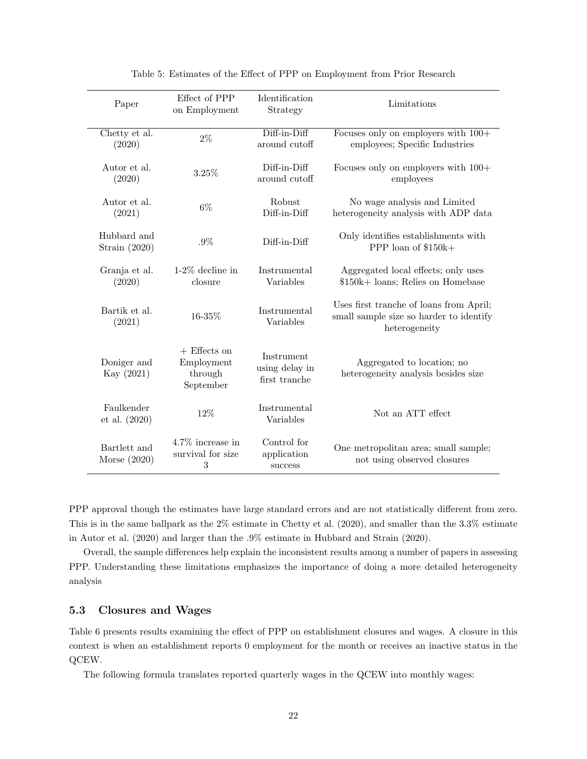| Paper                          | Effect of PPP<br>on Employment                       | Identification<br>Strategy                    | Limitations                                                                                         |
|--------------------------------|------------------------------------------------------|-----------------------------------------------|-----------------------------------------------------------------------------------------------------|
| Chetty et al.<br>(2020)        | $2\%$                                                | Diff-in-Diff<br>around cutoff                 | Focuses only on employers with $100+$<br>employees; Specific Industries                             |
| Autor et al.<br>(2020)         | 3.25%                                                | Diff-in-Diff<br>around cutoff                 | Focuses only on employers with $100+$<br>employees                                                  |
| Autor et al.<br>(2021)         | $6\%$                                                | Robust<br>Diff-in-Diff                        | No wage analysis and Limited<br>heterogeneity analysis with ADP data                                |
| Hubbard and<br>Strain $(2020)$ | $.9\%$                                               | Diff-in-Diff                                  | Only identifies establishments with<br>PPP loan of \$150k+                                          |
| Granja et al.<br>(2020)        | $1-2\%$ decline in<br>closure                        | Instrumental<br>Variables                     | Aggregated local effects; only uses<br>\$150k+ loans; Relies on Homebase                            |
| Bartik et al.<br>(2021)        | 16-35%                                               | Instrumental<br>Variables                     | Uses first tranche of loans from April;<br>small sample size so harder to identify<br>heterogeneity |
| Doniger and<br>Kay (2021)      | $+$ Effects on<br>Employment<br>through<br>September | Instrument<br>using delay in<br>first tranche | Aggregated to location; no<br>heterogeneity analysis besides size                                   |
| Faulkender<br>et al. (2020)    | 12%                                                  | Instrumental<br>Variables                     | Not an ATT effect                                                                                   |
| Bartlett and<br>Morse $(2020)$ | 4.7% increase in<br>survival for size<br>3           | Control for<br>application<br>success         | One metropolitan area; small sample;<br>not using observed closures                                 |

Table 5: Estimates of the Effect of PPP on Employment from Prior Research

PPP approval though the estimates have large standard errors and are not statistically different from zero. This is in the same ballpark as the 2% estimate in Chetty et al. (2020), and smaller than the 3.3% estimate in Autor et al. (2020) and larger than the .9% estimate in Hubbard and Strain (2020).

Overall, the sample differences help explain the inconsistent results among a number of papers in assessing PPP. Understanding these limitations emphasizes the importance of doing a more detailed heterogeneity analysis

# 5.3 Closures and Wages

Table 6 presents results examining the effect of PPP on establishment closures and wages. A closure in this context is when an establishment reports 0 employment for the month or receives an inactive status in the QCEW.

The following formula translates reported quarterly wages in the QCEW into monthly wages: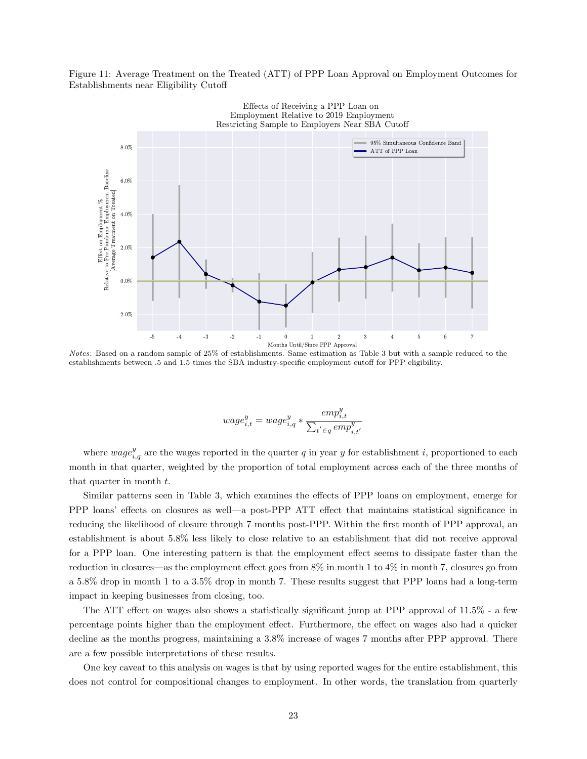Figure 11: Average Treatment on the Treated (ATT) of PPP Loan Approval on Employment Outcomes for Establishments near Eligibility Cutoff



Notes: Based on a random sample of 25% of establishments. Same estimation as Table 3 but with a sample reduced to the establishments between .5 and 1.5 times the SBA industry-specific employment cutoff for PPP eligibility.

$$
wage_{i,t}^y = wage_{i,q}^y * \frac{emp_{i,t}^y}{\sum_{t^{'} \in q} emp_{i,t^{'}}^y}
$$

where  $wage_{i,q}^y$  are the wages reported in the quarter q in year y for establishment i, proportioned to each month in that quarter, weighted by the proportion of total employment across each of the three months of that quarter in month t.

Similar patterns seen in Table 3, which examines the effects of PPP loans on employment, emerge for PPP loans' effects on closures as well—a post-PPP ATT effect that maintains statistical significance in reducing the likelihood of closure through 7 months post-PPP. Within the first month of PPP approval, an establishment is about 5.8% less likely to close relative to an establishment that did not receive approval for a PPP loan. One interesting pattern is that the employment effect seems to dissipate faster than the reduction in closures—as the employment effect goes from 8% in month 1 to 4% in month 7, closures go from a 5.8% drop in month 1 to a 3.5% drop in month 7. These results suggest that PPP loans had a long-term impact in keeping businesses from closing, too.

The ATT effect on wages also shows a statistically significant jump at PPP approval of 11.5% - a few percentage points higher than the employment effect. Furthermore, the effect on wages also had a quicker decline as the months progress, maintaining a 3.8% increase of wages 7 months after PPP approval. There are a few possible interpretations of these results.

One key caveat to this analysis on wages is that by using reported wages for the entire establishment, this does not control for compositional changes to employment. In other words, the translation from quarterly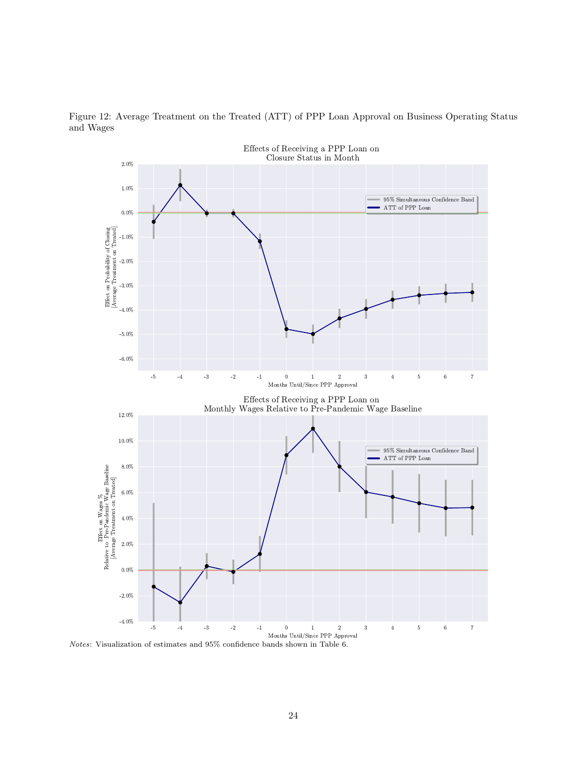

Figure 12: Average Treatment on the Treated (ATT) of PPP Loan Approval on Business Operating Status and Wages

Notes: Visualization of estimates and 95% confidence bands shown in Table 6.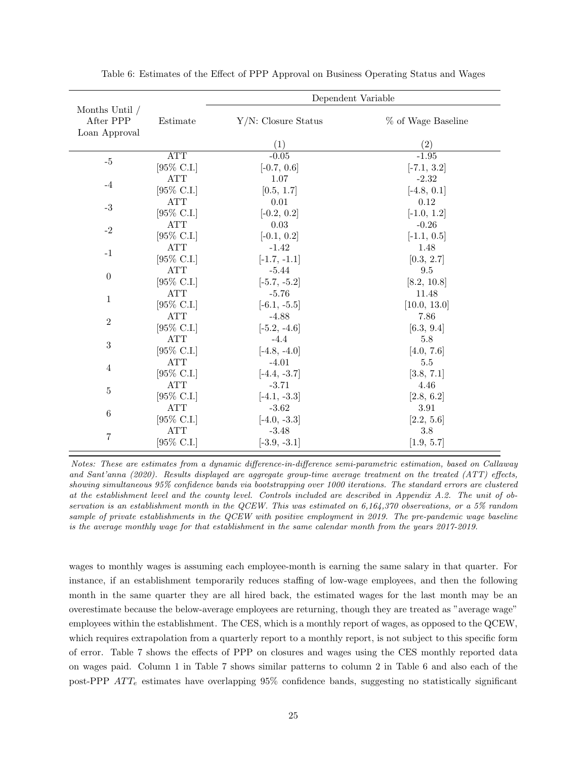|                |                                 | Dependent Variable     |                    |  |  |  |
|----------------|---------------------------------|------------------------|--------------------|--|--|--|
| Months Until / |                                 |                        |                    |  |  |  |
| After PPP      | Estimate                        | $Y/N$ : Closure Status | % of Wage Baseline |  |  |  |
| Loan Approval  |                                 |                        |                    |  |  |  |
|                |                                 | (1)                    | (2)                |  |  |  |
| $-5$           | $\overline{\operatorname{ATT}}$ | $-0.05$                | $-1.95$            |  |  |  |
|                | [95% C.I.]                      | $[-0.7, 0.6]$          | $[-7.1, 3.2]$      |  |  |  |
| $-4$           | ATT                             | 1.07                   | $-2.32$            |  |  |  |
|                | [95\% C.I.]                     | [0.5, 1.7]             | $[-4.8, 0.1]$      |  |  |  |
| $\text{-}3$    | <b>ATT</b>                      | $0.01\,$               | $0.12\,$           |  |  |  |
|                | [95\% C.I.]                     | $[-0.2, 0.2]$          | $[-1.0, 1.2]$      |  |  |  |
| $-2$           | <b>ATT</b>                      | $\,0.03\,$             | $-0.26$            |  |  |  |
|                | [95% C.I.]                      | $[-0.1, 0.2]$          | $[-1.1, 0.5]$      |  |  |  |
| $-1$           | <b>ATT</b>                      | $-1.42$                | 1.48               |  |  |  |
|                | [95% C.I.]                      | $[-1.7, -1.1]$         | [0.3, 2.7]         |  |  |  |
| $\theta$       | <b>ATT</b>                      | $-5.44$                | $9.5\,$            |  |  |  |
|                | [95% C.I.]                      | $[-5.7, -5.2]$         | [8.2, 10.8]        |  |  |  |
| 1              | ATT                             | $-5.76$                | 11.48              |  |  |  |
|                | [95\% C.I.]                     | $[-6.1, -5.5]$         | [10.0, 13.0]       |  |  |  |
| $\overline{2}$ | <b>ATT</b>                      | $-4.88$                | 7.86               |  |  |  |
|                | [95\% C.I.]                     | $[-5.2, -4.6]$         | [6.3, 9.4]         |  |  |  |
| 3              | <b>ATT</b>                      | $-4.4$                 | 5.8                |  |  |  |
|                | [95% C.I.]                      | $[-4.8, -4.0]$         | [4.0, 7.6]         |  |  |  |
| 4              | <b>ATT</b>                      | $-4.01$                | 5.5                |  |  |  |
|                | [95\% C.I.]                     | $[-4.4, -3.7]$         | [3.8, 7.1]         |  |  |  |
| $\overline{5}$ | $\operatorname{ATT}$            | $-3.71$                | 4.46               |  |  |  |
|                | [95% C.I.]                      | $[-4.1, -3.3]$         | [2.8, 6.2]         |  |  |  |
| 6              | ATT                             | $-3.62$                | 3.91               |  |  |  |
|                | [95% C.I.]                      | $[-4.0, -3.3]$         | [2.2, 5.6]         |  |  |  |
| $\overline{7}$ | <b>ATT</b>                      | $-3.48$                | 3.8                |  |  |  |
|                | [95% C.I.]                      | $[-3.9, -3.1]$         | [1.9, 5.7]         |  |  |  |

Table 6: Estimates of the Effect of PPP Approval on Business Operating Status and Wages

Notes: These are estimates from a dynamic difference-in-difference semi-parametric estimation, based on Callaway and Sant'anna (2020). Results displayed are aggregate group-time average treatment on the treated (ATT) effects, showing simultaneous 95% confidence bands via bootstrapping over 1000 iterations. The standard errors are clustered at the establishment level and the county level. Controls included are described in Appendix A.2. The unit of observation is an establishment month in the QCEW. This was estimated on 6,164,370 observations, or a 5% random sample of private establishments in the QCEW with positive employment in 2019. The pre-pandemic wage baseline is the average monthly wage for that establishment in the same calendar month from the years 2017-2019.

wages to monthly wages is assuming each employee-month is earning the same salary in that quarter. For instance, if an establishment temporarily reduces staffing of low-wage employees, and then the following month in the same quarter they are all hired back, the estimated wages for the last month may be an overestimate because the below-average employees are returning, though they are treated as "average wage" employees within the establishment. The CES, which is a monthly report of wages, as opposed to the QCEW, which requires extrapolation from a quarterly report to a monthly report, is not subject to this specific form of error. Table 7 shows the effects of PPP on closures and wages using the CES monthly reported data on wages paid. Column 1 in Table 7 shows similar patterns to column 2 in Table 6 and also each of the post-PPP  $ATT_e$  estimates have overlapping 95% confidence bands, suggesting no statistically significant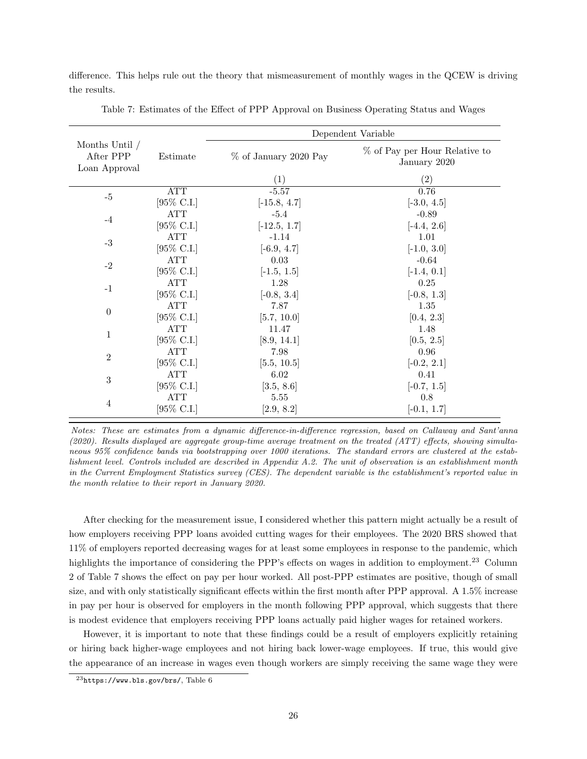difference. This helps rule out the theory that mismeasurement of monthly wages in the QCEW is driving the results.

|                                                |                       | Dependent Variable    |                                               |  |  |
|------------------------------------------------|-----------------------|-----------------------|-----------------------------------------------|--|--|
| Months Until $/$<br>After PPP<br>Loan Approval | Estimate              | % of January 2020 Pay | % of Pay per Hour Relative to<br>January 2020 |  |  |
|                                                |                       | $\left(1\right)$      | $\left( 2\right)$                             |  |  |
|                                                | ATT                   | $-5.57$               | 0.76                                          |  |  |
| $-5$                                           | [95\% C.I.]           | $[-15.8, 4.7]$        | $[-3.0, 4.5]$                                 |  |  |
| $-4$                                           | ATT                   | $-5.4$                | $-0.89$                                       |  |  |
|                                                | [95% C.I.]            | $[-12.5, 1.7]$        | $[-4.4, 2.6]$                                 |  |  |
| $-3$                                           | <b>ATT</b>            | $-1.14$               | 1.01                                          |  |  |
|                                                | [95\% C.I.]           | $[-6.9, 4.7]$         | $[-1.0, 3.0]$                                 |  |  |
| $-2$                                           | ATT                   | 0.03                  | $-0.64$                                       |  |  |
|                                                | [95% C.I.]            | $[-1.5, 1.5]$         | $[-1.4, 0.1]$                                 |  |  |
| $-1$                                           | <b>ATT</b>            | 1.28                  | $0.25\,$                                      |  |  |
|                                                | [95\% C.I.]           | $[-0.8, 3.4]$         | $[-0.8, 1.3]$                                 |  |  |
| $\boldsymbol{0}$                               | <b>ATT</b>            | 7.87                  | 1.35                                          |  |  |
|                                                | [95\% C.I.]           | [5.7, 10.0]           | [0.4, 2.3]                                    |  |  |
| 1                                              | $\operatorname{ATT}$  | 11.47                 | 1.48                                          |  |  |
|                                                | $[95\% \text{ C.I.}]$ | [8.9, 14.1]           | [0.5, 2.5]                                    |  |  |
| $\overline{2}$                                 | ATT                   | 7.98                  | 0.96                                          |  |  |
|                                                | [95\% C.I.]           | [5.5, 10.5]           | $[-0.2, 2.1]$                                 |  |  |
| 3                                              | ATT                   | 6.02                  | 0.41                                          |  |  |
|                                                | [95\% C.I.]           | [3.5, 8.6]            | $[-0.7, 1.5]$                                 |  |  |
|                                                | ATT                   | 5.55                  | 0.8                                           |  |  |
| 4                                              | [95% C.I.]            | [2.9, 8.2]            | $[-0.1, 1.7]$                                 |  |  |

Table 7: Estimates of the Effect of PPP Approval on Business Operating Status and Wages

Notes: These are estimates from a dynamic difference-in-difference regression, based on Callaway and Sant'anna (2020). Results displayed are aggregate group-time average treatment on the treated (ATT) effects, showing simultaneous 95% confidence bands via bootstrapping over 1000 iterations. The standard errors are clustered at the establishment level. Controls included are described in Appendix A.2. The unit of observation is an establishment month in the Current Employment Statistics survey (CES). The dependent variable is the establishment's reported value in the month relative to their report in January 2020.

After checking for the measurement issue, I considered whether this pattern might actually be a result of how employers receiving PPP loans avoided cutting wages for their employees. The 2020 BRS showed that 11% of employers reported decreasing wages for at least some employees in response to the pandemic, which highlights the importance of considering the PPP's effects on wages in addition to employment.<sup>23</sup> Column 2 of Table 7 shows the effect on pay per hour worked. All post-PPP estimates are positive, though of small size, and with only statistically significant effects within the first month after PPP approval. A 1.5% increase in pay per hour is observed for employers in the month following PPP approval, which suggests that there is modest evidence that employers receiving PPP loans actually paid higher wages for retained workers.

However, it is important to note that these findings could be a result of employers explicitly retaining or hiring back higher-wage employees and not hiring back lower-wage employees. If true, this would give the appearance of an increase in wages even though workers are simply receiving the same wage they were

<sup>23</sup>https://www.bls.gov/brs/, Table 6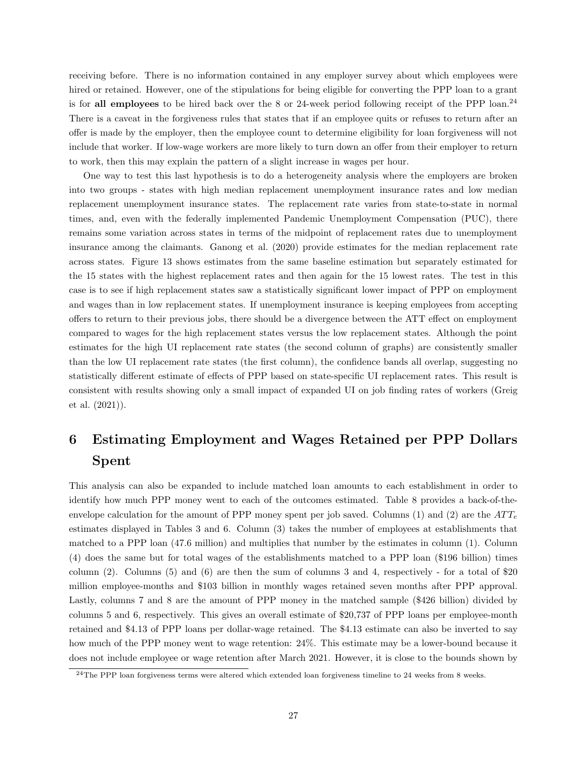receiving before. There is no information contained in any employer survey about which employees were hired or retained. However, one of the stipulations for being eligible for converting the PPP loan to a grant is for all employees to be hired back over the 8 or 24-week period following receipt of the PPP loan.<sup>24</sup> There is a caveat in the forgiveness rules that states that if an employee quits or refuses to return after an offer is made by the employer, then the employee count to determine eligibility for loan forgiveness will not include that worker. If low-wage workers are more likely to turn down an offer from their employer to return to work, then this may explain the pattern of a slight increase in wages per hour.

One way to test this last hypothesis is to do a heterogeneity analysis where the employers are broken into two groups - states with high median replacement unemployment insurance rates and low median replacement unemployment insurance states. The replacement rate varies from state-to-state in normal times, and, even with the federally implemented Pandemic Unemployment Compensation (PUC), there remains some variation across states in terms of the midpoint of replacement rates due to unemployment insurance among the claimants. Ganong et al. (2020) provide estimates for the median replacement rate across states. Figure 13 shows estimates from the same baseline estimation but separately estimated for the 15 states with the highest replacement rates and then again for the 15 lowest rates. The test in this case is to see if high replacement states saw a statistically significant lower impact of PPP on employment and wages than in low replacement states. If unemployment insurance is keeping employees from accepting offers to return to their previous jobs, there should be a divergence between the ATT effect on employment compared to wages for the high replacement states versus the low replacement states. Although the point estimates for the high UI replacement rate states (the second column of graphs) are consistently smaller than the low UI replacement rate states (the first column), the confidence bands all overlap, suggesting no statistically different estimate of effects of PPP based on state-specific UI replacement rates. This result is consistent with results showing only a small impact of expanded UI on job finding rates of workers (Greig et al. (2021)).

# 6 Estimating Employment and Wages Retained per PPP Dollars Spent

This analysis can also be expanded to include matched loan amounts to each establishment in order to identify how much PPP money went to each of the outcomes estimated. Table 8 provides a back-of-theenvelope calculation for the amount of PPP money spent per job saved. Columns (1) and (2) are the  $ATT<sub>e</sub>$ estimates displayed in Tables 3 and 6. Column (3) takes the number of employees at establishments that matched to a PPP loan (47.6 million) and multiplies that number by the estimates in column (1). Column (4) does the same but for total wages of the establishments matched to a PPP loan (\$196 billion) times column (2). Columns (5) and (6) are then the sum of columns 3 and 4, respectively - for a total of  $\$20$ million employee-months and \$103 billion in monthly wages retained seven months after PPP approval. Lastly, columns 7 and 8 are the amount of PPP money in the matched sample (\$426 billion) divided by columns 5 and 6, respectively. This gives an overall estimate of \$20,737 of PPP loans per employee-month retained and \$4.13 of PPP loans per dollar-wage retained. The \$4.13 estimate can also be inverted to say how much of the PPP money went to wage retention: 24%. This estimate may be a lower-bound because it does not include employee or wage retention after March 2021. However, it is close to the bounds shown by

<sup>&</sup>lt;sup>24</sup>The PPP loan forgiveness terms were altered which extended loan forgiveness timeline to 24 weeks from 8 weeks.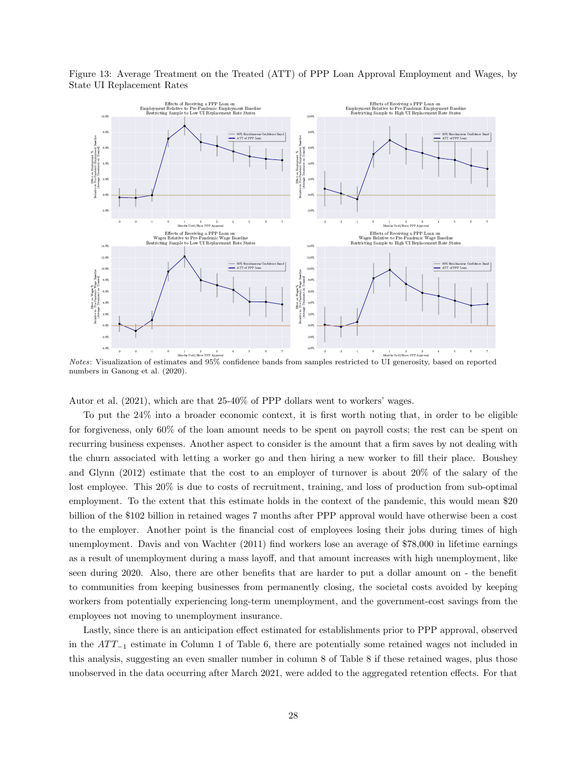

Figure 13: Average Treatment on the Treated (ATT) of PPP Loan Approval Employment and Wages, by State UI Replacement Rates

numbers in Ganong et al. (2020).

Autor et al. (2021), which are that 25-40% of PPP dollars went to workers' wages.

To put the 24% into a broader economic context, it is first worth noting that, in order to be eligible for forgiveness, only 60% of the loan amount needs to be spent on payroll costs; the rest can be spent on recurring business expenses. Another aspect to consider is the amount that a firm saves by not dealing with the churn associated with letting a worker go and then hiring a new worker to fill their place. Boushey and Glynn (2012) estimate that the cost to an employer of turnover is about 20% of the salary of the lost employee. This 20% is due to costs of recruitment, training, and loss of production from sub-optimal employment. To the extent that this estimate holds in the context of the pandemic, this would mean \$20 billion of the \$102 billion in retained wages 7 months after PPP approval would have otherwise been a cost to the employer. Another point is the financial cost of employees losing their jobs during times of high unemployment. Davis and von Wachter (2011) find workers lose an average of \$78,000 in lifetime earnings as a result of unemployment during a mass layoff, and that amount increases with high unemployment, like seen during 2020. Also, there are other benefits that are harder to put a dollar amount on - the benefit to communities from keeping businesses from permanently closing, the societal costs avoided by keeping workers from potentially experiencing long-term unemployment, and the government-cost savings from the employees not moving to unemployment insurance.

Lastly, since there is an anticipation effect estimated for establishments prior to PPP approval, observed in the  $ATT_{-1}$  estimate in Column 1 of Table 6, there are potentially some retained wages not included in this analysis, suggesting an even smaller number in column 8 of Table 8 if these retained wages, plus those unobserved in the data occurring after March 2021, were added to the aggregated retention effects. For that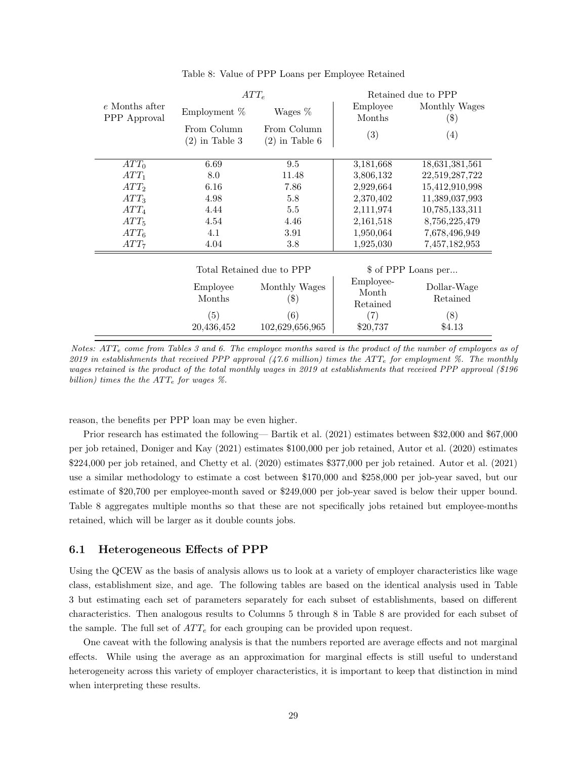| e Months after<br>Employee<br>Wages %<br>Employment $%$<br>PPP Approval<br>Months | Monthly Wages<br>$(\$)$ |
|-----------------------------------------------------------------------------------|-------------------------|
| From Column<br>From Column<br>(3)<br>$(2)$ in Table 3<br>$(2)$ in Table 6         | (4)                     |
| 6.69<br>$ATT_0$<br>9.5<br>3,181,668                                               | 18,631,381,561          |
| 8.0<br>11.48<br>$ATT_1$<br>3,806,132                                              | 22,519,287,722          |
| ATT <sub>2</sub><br>6.16<br>7.86<br>2,929,664                                     | 15,412,910,998          |
| ATT <sub>3</sub><br>4.98<br>5.8<br>2,370,402                                      | 11,389,037,993          |
| 4.44<br>$5.5\,$<br>$ATT_4$<br>2,111,974                                           | 10,785,133,311          |
| ATT <sub>5</sub><br>4.54<br>4.46<br>2,161,518                                     | 8,756,225,479           |
| $ATT_6$<br>4.1<br>3.91<br>1,950,064                                               | 7,678,496,949           |
| 4.04<br>ATT <sub>7</sub><br>3.8<br>1,925,030                                      | 7,457,182,953           |
| Total Retained due to PPP<br>\$ of PPP Loans per                                  |                         |
| Employee-<br>Employee<br>Monthly Wages<br>Month<br>Months<br>$(\$)$<br>Retained   | Dollar-Wage<br>Retained |
| (5)<br>(6)<br>(7)                                                                 | (8)                     |
| 20,436,452<br>102,629,656,965<br>\$20,737                                         | \$4.13                  |

# Table 8: Value of PPP Loans per Employee Retained

Notes:  $ATT<sub>e</sub>$  come from Tables 3 and 6. The employee months saved is the product of the number of employees as of 2019 in establishments that received PPP approval  $(47.6 \text{ million})$  times the ATT<sub>e</sub> for employment %. The monthly wages retained is the product of the total monthly wages in 2019 at establishments that received PPP approval (\$196 billion) times the the  $ATT_e$  for wages %.

reason, the benefits per PPP loan may be even higher.

Prior research has estimated the following— Bartik et al. (2021) estimates between \$32,000 and \$67,000 per job retained, Doniger and Kay (2021) estimates \$100,000 per job retained, Autor et al. (2020) estimates \$224,000 per job retained, and Chetty et al. (2020) estimates \$377,000 per job retained. Autor et al. (2021) use a similar methodology to estimate a cost between \$170,000 and \$258,000 per job-year saved, but our estimate of \$20,700 per employee-month saved or \$249,000 per job-year saved is below their upper bound. Table 8 aggregates multiple months so that these are not specifically jobs retained but employee-months retained, which will be larger as it double counts jobs.

### 6.1 Heterogeneous Effects of PPP

Using the QCEW as the basis of analysis allows us to look at a variety of employer characteristics like wage class, establishment size, and age. The following tables are based on the identical analysis used in Table 3 but estimating each set of parameters separately for each subset of establishments, based on different characteristics. Then analogous results to Columns 5 through 8 in Table 8 are provided for each subset of the sample. The full set of  $ATT_e$  for each grouping can be provided upon request.

One caveat with the following analysis is that the numbers reported are average effects and not marginal effects. While using the average as an approximation for marginal effects is still useful to understand heterogeneity across this variety of employer characteristics, it is important to keep that distinction in mind when interpreting these results.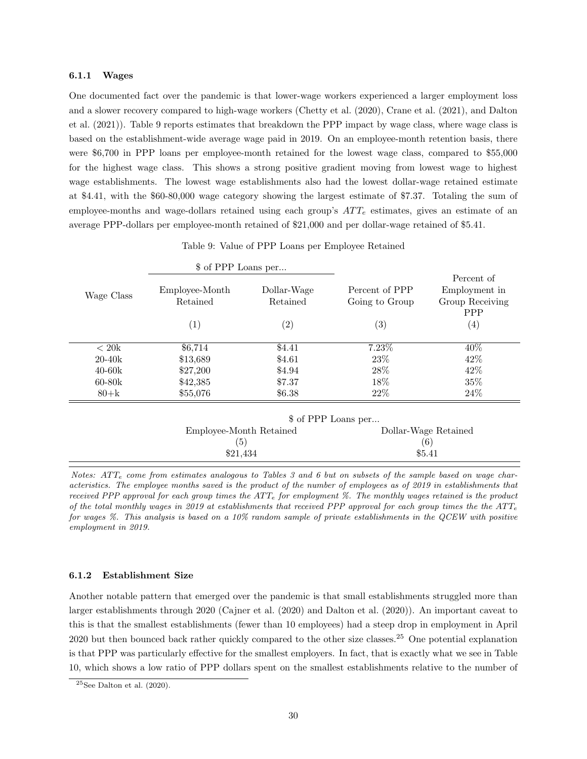#### 6.1.1 Wages

One documented fact over the pandemic is that lower-wage workers experienced a larger employment loss and a slower recovery compared to high-wage workers (Chetty et al. (2020), Crane et al. (2021), and Dalton et al. (2021)). Table 9 reports estimates that breakdown the PPP impact by wage class, where wage class is based on the establishment-wide average wage paid in 2019. On an employee-month retention basis, there were \$6,700 in PPP loans per employee-month retained for the lowest wage class, compared to \$55,000 for the highest wage class. This shows a strong positive gradient moving from lowest wage to highest wage establishments. The lowest wage establishments also had the lowest dollar-wage retained estimate at \$4.41, with the \$60-80,000 wage category showing the largest estimate of \$7.37. Totaling the sum of employee-months and wage-dollars retained using each group's  $ATT_e$  estimates, gives an estimate of an average PPP-dollars per employee-month retained of \$21,000 and per dollar-wage retained of \$5.41.

|  |  |  |  |  | Table 9: Value of PPP Loans per Employee Retained |  |
|--|--|--|--|--|---------------------------------------------------|--|
|--|--|--|--|--|---------------------------------------------------|--|

|                 | \$ of PPP Loans per            |                         |                                  |                                                       |
|-----------------|--------------------------------|-------------------------|----------------------------------|-------------------------------------------------------|
| Wage Class      | Employee-Month<br>Retained     | Dollar-Wage<br>Retained | Percent of PPP<br>Going to Group | Percent of<br>Employment in<br>Group Receiving<br>PPP |
|                 | (1)                            | (2)                     | (3)                              | $\left( 4\right)$                                     |
| $<20\mathrm{k}$ | \$6,714                        | \$4.41                  | 7.23%                            | 40%                                                   |
| $20 - 40k$      | \$13,689                       | \$4.61                  | 23\%                             | 42\%                                                  |
| $40-60k$        | \$27,200                       | \$4.94                  | 28%                              | 42\%                                                  |
| $60-80k$        | \$42,385                       | \$7.37                  | 18%                              | 35%                                                   |
| $80 + k$        | \$55,076                       | \$6.38                  | 22%                              | 24\%                                                  |
|                 |                                |                         | \$ of PPP Loans per              |                                                       |
|                 | Employee-Month Retained<br>(5) |                         | Dollar-Wage Retained             |                                                       |
|                 |                                |                         |                                  | $\left( 6\right)$                                     |
|                 | \$21,434                       |                         |                                  | \$5.41                                                |

Notes:  $ATT<sub>e</sub>$  come from estimates analogous to Tables 3 and 6 but on subsets of the sample based on wage characteristics. The employee months saved is the product of the number of employees as of 2019 in establishments that received PPP approval for each group times the  $ATT<sub>e</sub>$  for employment %. The monthly wages retained is the product of the total monthly wages in 2019 at establishments that received PPP approval for each group times the the  $ATT<sub>e</sub>$ for wages %. This analysis is based on a 10% random sample of private establishments in the QCEW with positive employment in 2019.

#### 6.1.2 Establishment Size

Another notable pattern that emerged over the pandemic is that small establishments struggled more than larger establishments through 2020 (Cajner et al. (2020) and Dalton et al. (2020)). An important caveat to this is that the smallest establishments (fewer than 10 employees) had a steep drop in employment in April 2020 but then bounced back rather quickly compared to the other size classes.<sup>25</sup> One potential explanation is that PPP was particularly effective for the smallest employers. In fact, that is exactly what we see in Table 10, which shows a low ratio of PPP dollars spent on the smallest establishments relative to the number of

 $25$ See Dalton et al. (2020).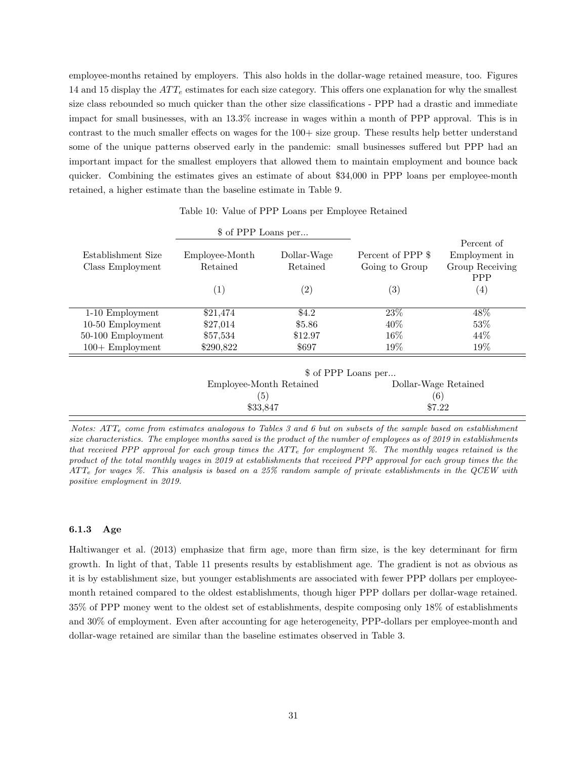employee-months retained by employers. This also holds in the dollar-wage retained measure, too. Figures 14 and 15 display the  $ATT_e$  estimates for each size category. This offers one explanation for why the smallest size class rebounded so much quicker than the other size classifications - PPP had a drastic and immediate impact for small businesses, with an 13.3% increase in wages within a month of PPP approval. This is in contrast to the much smaller effects on wages for the  $100+$  size group. These results help better understand some of the unique patterns observed early in the pandemic: small businesses suffered but PPP had an important impact for the smallest employers that allowed them to maintain employment and bounce back quicker. Combining the estimates gives an estimate of about \$34,000 in PPP loans per employee-month retained, a higher estimate than the baseline estimate in Table 9.

|                     | \$ of PPP Loans per |                   |                     |                   |
|---------------------|---------------------|-------------------|---------------------|-------------------|
|                     |                     |                   |                     | Percent of        |
| Establishment Size  | Employee-Month      | Dollar-Wage       | Percent of PPP \$   | Employment in     |
| Class Employment    | Retained            | Retained          | Going to Group      | Group Receiving   |
|                     |                     |                   |                     | <b>PPP</b>        |
|                     | $\left( 1\right)$   | $\left( 2\right)$ | $\left( 3\right)$   | $\left( 4\right)$ |
|                     |                     |                   |                     |                   |
| 1-10 Employment     | \$21,474            | \$4.2             | 23\%                | 48\%              |
| 10-50 Employment    | \$27,014            | \$5.86            | $40\%$              | 53\%              |
| $50-100$ Employment | \$57,534            | \$12.97           | $16\%$              | 44\%              |
| $100 +$ Employment  | \$290,822           | \$697             | 19%                 | 19%               |
|                     |                     |                   |                     |                   |
|                     |                     |                   | \$ of PPP Loans per |                   |

|                         | $\vee$ of $\cdots$ bodily point. |
|-------------------------|----------------------------------|
| Employee-Month Retained | Dollar-Wage Retained             |
| $\left(5\right)$        | (6)                              |
| \$33.847                | \$7.22                           |
|                         |                                  |

Notes:  $ATT<sub>e</sub>$  come from estimates analogous to Tables 3 and 6 but on subsets of the sample based on establishment size characteristics. The employee months saved is the product of the number of employees as of 2019 in establishments that received PPP approval for each group times the  $ATT_e$  for employment %. The monthly wages retained is the product of the total monthly wages in 2019 at establishments that received PPP approval for each group times the the  $ATT<sub>e</sub>$  for wages %. This analysis is based on a 25% random sample of private establishments in the QCEW with positive employment in 2019.

#### 6.1.3 Age

Haltiwanger et al. (2013) emphasize that firm age, more than firm size, is the key determinant for firm growth. In light of that, Table 11 presents results by establishment age. The gradient is not as obvious as it is by establishment size, but younger establishments are associated with fewer PPP dollars per employeemonth retained compared to the oldest establishments, though higer PPP dollars per dollar-wage retained. 35% of PPP money went to the oldest set of establishments, despite composing only 18% of establishments and 30% of employment. Even after accounting for age heterogeneity, PPP-dollars per employee-month and dollar-wage retained are similar than the baseline estimates observed in Table 3.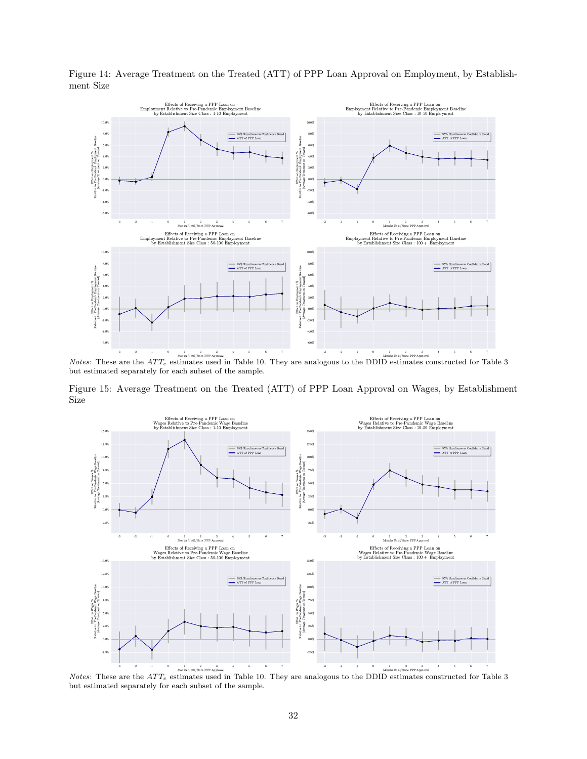

Figure 14: Average Treatment on the Treated (ATT) of PPP Loan Approval on Employment, by Establishment Size

Notes: These are the  $ATT_e$  estimates used in Table 10. They are analogous to the DDID estimates constructed for Table 3 but estimated separately for each subset of the sample.

Figure 15: Average Treatment on the Treated (ATT) of PPP Loan Approval on Wages, by Establishment Size



Notes: These are the  $ATT_e$  estimates used in Table 10. They are analogous to the DDID estimates constructed for Table 3 but estimated separately for each subset of the sample.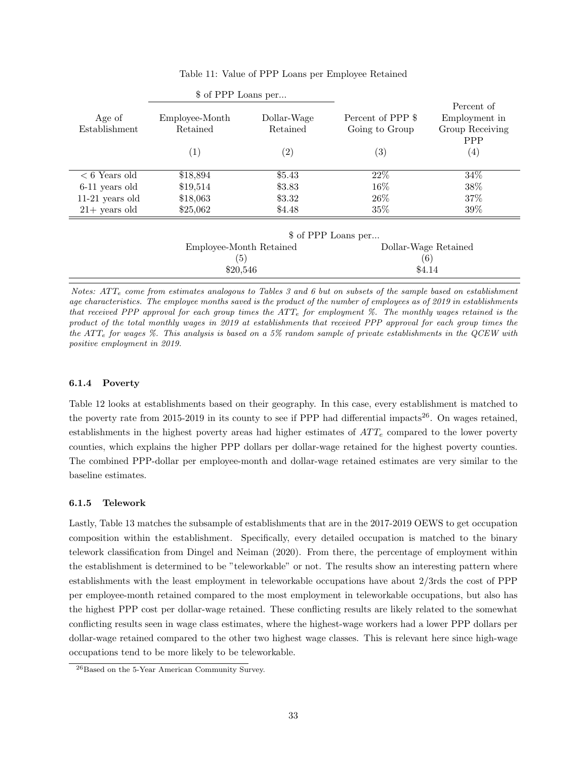|                         | \$ of PPP Loans per        |                         |                                     |                                                |
|-------------------------|----------------------------|-------------------------|-------------------------------------|------------------------------------------------|
| Age of<br>Establishment | Employee-Month<br>Retained | Dollar-Wage<br>Retained | Percent of PPP \$<br>Going to Group | Percent of<br>Employment in<br>Group Receiving |
|                         | $\left( 1\right)$          | (2)                     | $\left( 3\right)$                   | <b>PPP</b><br>$\left( 4\right)$                |
| $< 6$ Years old         | \$18,894                   | \$5.43                  | 22%                                 | 34%                                            |
| 6-11 years old          | \$19,514                   | \$3.83                  | 16%                                 | 38%                                            |
| $11-21$ years old       | \$18,063                   | \$3.32                  | $26\%$                              | 37%                                            |
| $21+$ years old         | \$25,062                   | \$4.48                  | $35\%$                              | 39%                                            |
|                         |                            |                         | \$ of PPP Loans per                 |                                                |
| Employee-Month Retained |                            | Dollar-Wage Retained    |                                     |                                                |
|                         | $\left( 5\right)$          |                         |                                     | $\left( 6\right)$                              |
|                         | \$20,546                   |                         | \$4.14                              |                                                |

### Table 11: Value of PPP Loans per Employee Retained

Notes:  $ATT<sub>e</sub>$  come from estimates analogous to Tables 3 and 6 but on subsets of the sample based on establishment age characteristics. The employee months saved is the product of the number of employees as of 2019 in establishments that received PPP approval for each group times the  $ATT<sub>e</sub>$  for employment %. The monthly wages retained is the product of the total monthly wages in 2019 at establishments that received PPP approval for each group times the the ATT<sub>e</sub> for wages  $\%$ . This analysis is based on a 5% random sample of private establishments in the QCEW with positive employment in 2019.

# 6.1.4 Poverty

Table 12 looks at establishments based on their geography. In this case, every establishment is matched to the poverty rate from 2015-2019 in its county to see if PPP had differential impacts<sup>26</sup>. On wages retained, establishments in the highest poverty areas had higher estimates of  $ATT_e$  compared to the lower poverty counties, which explains the higher PPP dollars per dollar-wage retained for the highest poverty counties. The combined PPP-dollar per employee-month and dollar-wage retained estimates are very similar to the baseline estimates.

### 6.1.5 Telework

Lastly, Table 13 matches the subsample of establishments that are in the 2017-2019 OEWS to get occupation composition within the establishment. Specifically, every detailed occupation is matched to the binary telework classification from Dingel and Neiman (2020). From there, the percentage of employment within the establishment is determined to be "teleworkable" or not. The results show an interesting pattern where establishments with the least employment in teleworkable occupations have about 2/3rds the cost of PPP per employee-month retained compared to the most employment in teleworkable occupations, but also has the highest PPP cost per dollar-wage retained. These conflicting results are likely related to the somewhat conflicting results seen in wage class estimates, where the highest-wage workers had a lower PPP dollars per dollar-wage retained compared to the other two highest wage classes. This is relevant here since high-wage occupations tend to be more likely to be teleworkable.

<sup>26</sup>Based on the 5-Year American Community Survey.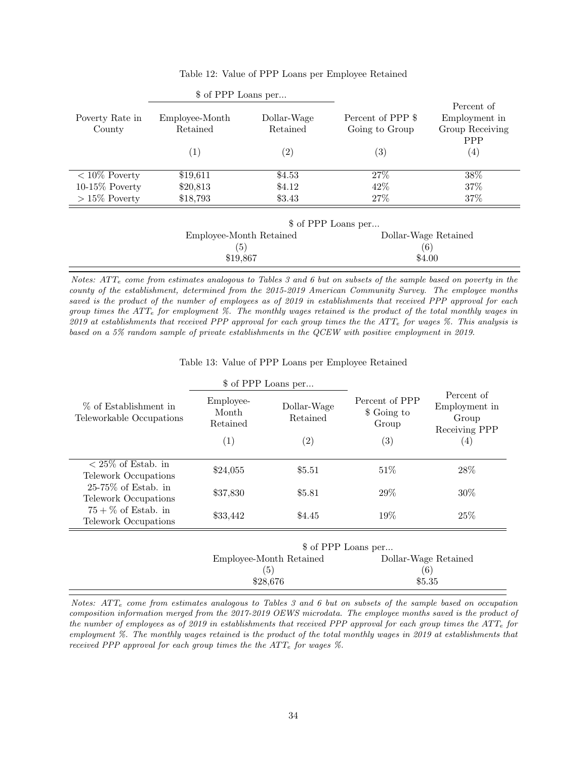|                           | \$ of PPP Loans per        |                         |                                     |                                                              |
|---------------------------|----------------------------|-------------------------|-------------------------------------|--------------------------------------------------------------|
| Poverty Rate in<br>County | Employee-Month<br>Retained | Dollar-Wage<br>Retained | Percent of PPP \$<br>Going to Group | Percent of<br>Employment in<br>Group Receiving<br><b>PPP</b> |
|                           | (1)                        | (2)                     | $\left( 3\right)$                   | $\left( 4\right)$                                            |
| $< 10\%$ Poverty          | \$19,611                   | \$4.53                  | 27\%                                | 38%                                                          |
| $10-15\%$ Poverty         | \$20,813                   | \$4.12                  | 42\%                                | 37\%                                                         |
| $>15\%$ Poverty           | \$18,793                   | \$3.43                  | 27%                                 | 37%                                                          |
|                           |                            |                         | \$ of PPP Loans per                 |                                                              |
|                           | Employee-Month Retained    |                         | Dollar-Wage Retained                |                                                              |
|                           | (5)                        |                         | (6)                                 |                                                              |
|                           | \$19,867                   |                         | \$4.00                              |                                                              |

# Table 12: Value of PPP Loans per Employee Retained

Notes:  $ATT<sub>e</sub>$  come from estimates analogous to Tables 3 and 6 but on subsets of the sample based on poverty in the county of the establishment, determined from the 2015-2019 American Community Survey. The employee months saved is the product of the number of employees as of 2019 in establishments that received PPP approval for each group times the  $ATT_e$  for employment %. The monthly wages retained is the product of the total monthly wages in 2019 at establishments that received PPP approval for each group times the the ATT<sub>e</sub> for wages  $\%$ . This analysis is based on a 5% random sample of private establishments in the QCEW with positive employment in 2019.

Table 13: Value of PPP Loans per Employee Retained

|                                                                     | \$ of PPP Loans per            |                         |                                        |                                                       |
|---------------------------------------------------------------------|--------------------------------|-------------------------|----------------------------------------|-------------------------------------------------------|
| % of Establishment in<br>Teleworkable Occupations                   | Employee-<br>Month<br>Retained | Dollar-Wage<br>Retained | Percent of PPP<br>\$ Going to<br>Group | Percent of<br>Employment in<br>Group<br>Receiving PPP |
|                                                                     | $\left( 1\right)$              | $\left( 2\right)$       | $\left( 3\right)$                      | (4)                                                   |
| $\langle 25\% \text{ of Estab. in} \rangle$<br>Telework Occupations | \$24,055                       | \$5.51                  | $51\%$                                 | 28\%                                                  |
| $25-75\%$ of Estab. in<br>Telework Occupations                      | \$37,830                       | \$5.81                  | 29\%                                   | $30\%$                                                |
| $75 + \%$ of Estab. in<br>Telework Occupations                      | \$33,442                       | \$4.45                  | 19%                                    | 25\%                                                  |
|                                                                     | \$ of PPP Loans per            |                         |                                        |                                                       |
|                                                                     |                                |                         |                                        |                                                       |

| <b>D</b> of PPP Loans per |                      |  |
|---------------------------|----------------------|--|
| Employee-Month Retained   | Dollar-Wage Retained |  |
| $\left(5\right)$          | $\epsilon$           |  |
| \$28,676                  | \$5.35               |  |
|                           |                      |  |

Notes:  $ATT<sub>e</sub>$  come from estimates analogous to Tables 3 and 6 but on subsets of the sample based on occupation composition information merged from the 2017-2019 OEWS microdata. The employee months saved is the product of the number of employees as of 2019 in establishments that received PPP approval for each group times the  $ATT_e$  for employment %. The monthly wages retained is the product of the total monthly wages in 2019 at establishments that received PPP approval for each group times the the  $ATT<sub>e</sub>$  for wages  $\%$ .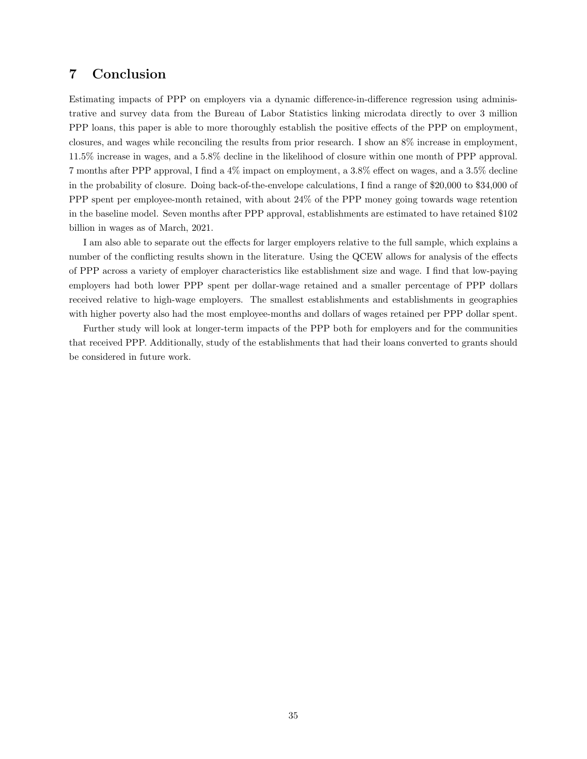# 7 Conclusion

Estimating impacts of PPP on employers via a dynamic difference-in-difference regression using administrative and survey data from the Bureau of Labor Statistics linking microdata directly to over 3 million PPP loans, this paper is able to more thoroughly establish the positive effects of the PPP on employment, closures, and wages while reconciling the results from prior research. I show an 8% increase in employment, 11.5% increase in wages, and a 5.8% decline in the likelihood of closure within one month of PPP approval. 7 months after PPP approval, I find a 4% impact on employment, a 3.8% effect on wages, and a 3.5% decline in the probability of closure. Doing back-of-the-envelope calculations, I find a range of \$20,000 to \$34,000 of PPP spent per employee-month retained, with about 24% of the PPP money going towards wage retention in the baseline model. Seven months after PPP approval, establishments are estimated to have retained \$102 billion in wages as of March, 2021.

I am also able to separate out the effects for larger employers relative to the full sample, which explains a number of the conflicting results shown in the literature. Using the QCEW allows for analysis of the effects of PPP across a variety of employer characteristics like establishment size and wage. I find that low-paying employers had both lower PPP spent per dollar-wage retained and a smaller percentage of PPP dollars received relative to high-wage employers. The smallest establishments and establishments in geographies with higher poverty also had the most employee-months and dollars of wages retained per PPP dollar spent.

Further study will look at longer-term impacts of the PPP both for employers and for the communities that received PPP. Additionally, study of the establishments that had their loans converted to grants should be considered in future work.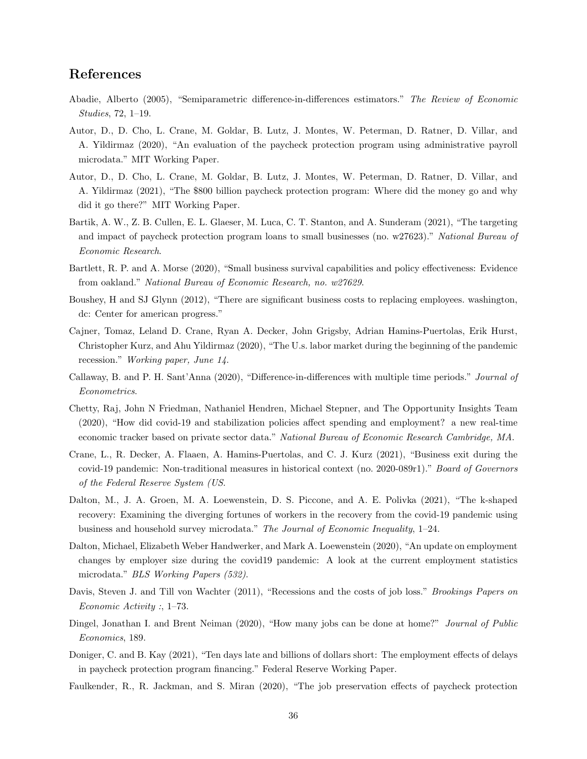# References

- Abadie, Alberto (2005), "Semiparametric difference-in-differences estimators." The Review of Economic Studies, 72, 1–19.
- Autor, D., D. Cho, L. Crane, M. Goldar, B. Lutz, J. Montes, W. Peterman, D. Ratner, D. Villar, and A. Yildirmaz (2020), "An evaluation of the paycheck protection program using administrative payroll microdata." MIT Working Paper.
- Autor, D., D. Cho, L. Crane, M. Goldar, B. Lutz, J. Montes, W. Peterman, D. Ratner, D. Villar, and A. Yildirmaz (2021), "The \$800 billion paycheck protection program: Where did the money go and why did it go there?" MIT Working Paper.
- Bartik, A. W., Z. B. Cullen, E. L. Glaeser, M. Luca, C. T. Stanton, and A. Sunderam (2021), "The targeting and impact of paycheck protection program loans to small businesses (no. w27623)." National Bureau of Economic Research.
- Bartlett, R. P. and A. Morse (2020), "Small business survival capabilities and policy effectiveness: Evidence from oakland." National Bureau of Economic Research, no. w27629.
- Boushey, H and SJ Glynn (2012), "There are significant business costs to replacing employees. washington, dc: Center for american progress."
- Cajner, Tomaz, Leland D. Crane, Ryan A. Decker, John Grigsby, Adrian Hamins-Puertolas, Erik Hurst, Christopher Kurz, and Ahu Yildirmaz (2020), "The U.s. labor market during the beginning of the pandemic recession." Working paper, June 14.
- Callaway, B. and P. H. Sant'Anna (2020), "Difference-in-differences with multiple time periods." Journal of Econometrics.
- Chetty, Raj, John N Friedman, Nathaniel Hendren, Michael Stepner, and The Opportunity Insights Team (2020), "How did covid-19 and stabilization policies affect spending and employment? a new real-time economic tracker based on private sector data." National Bureau of Economic Research Cambridge, MA.
- Crane, L., R. Decker, A. Flaaen, A. Hamins-Puertolas, and C. J. Kurz (2021), "Business exit during the covid-19 pandemic: Non-traditional measures in historical context (no. 2020-089r1)." Board of Governors of the Federal Reserve System (US.
- Dalton, M., J. A. Groen, M. A. Loewenstein, D. S. Piccone, and A. E. Polivka (2021), "The k-shaped recovery: Examining the diverging fortunes of workers in the recovery from the covid-19 pandemic using business and household survey microdata." The Journal of Economic Inequality, 1–24.
- Dalton, Michael, Elizabeth Weber Handwerker, and Mark A. Loewenstein (2020), "An update on employment changes by employer size during the covid19 pandemic: A look at the current employment statistics microdata." BLS Working Papers (532).
- Davis, Steven J. and Till von Wachter (2011), "Recessions and the costs of job loss." Brookings Papers on Economic Activity :, 1–73.
- Dingel, Jonathan I. and Brent Neiman (2020), "How many jobs can be done at home?" Journal of Public Economics, 189.
- Doniger, C. and B. Kay (2021), "Ten days late and billions of dollars short: The employment effects of delays in paycheck protection program financing." Federal Reserve Working Paper.
- Faulkender, R., R. Jackman, and S. Miran (2020), "The job preservation effects of paycheck protection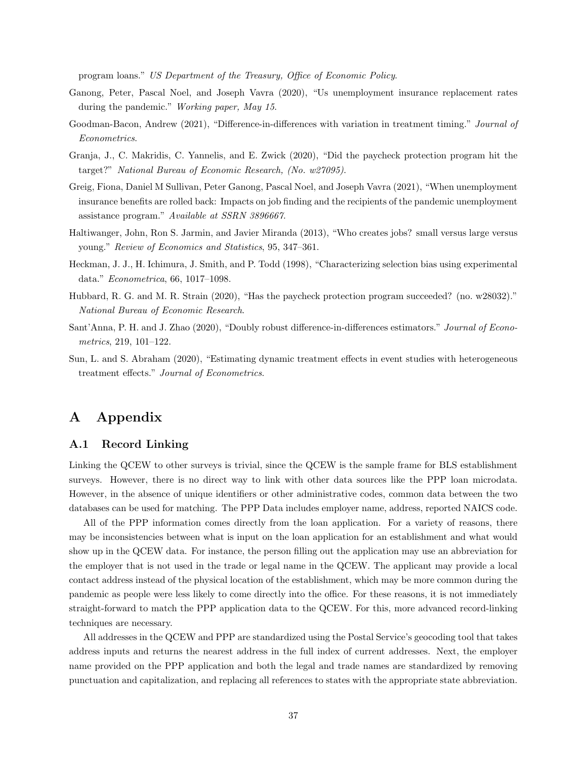program loans." US Department of the Treasury, Office of Economic Policy.

- Ganong, Peter, Pascal Noel, and Joseph Vavra (2020), "Us unemployment insurance replacement rates during the pandemic." Working paper, May 15.
- Goodman-Bacon, Andrew (2021), "Difference-in-differences with variation in treatment timing." Journal of Econometrics.
- Granja, J., C. Makridis, C. Yannelis, and E. Zwick (2020), "Did the paycheck protection program hit the target?" National Bureau of Economic Research, (No. w27095).
- Greig, Fiona, Daniel M Sullivan, Peter Ganong, Pascal Noel, and Joseph Vavra (2021), "When unemployment insurance benefits are rolled back: Impacts on job finding and the recipients of the pandemic unemployment assistance program." Available at SSRN 3896667.
- Haltiwanger, John, Ron S. Jarmin, and Javier Miranda (2013), "Who creates jobs? small versus large versus young." Review of Economics and Statistics, 95, 347–361.
- Heckman, J. J., H. Ichimura, J. Smith, and P. Todd (1998), "Characterizing selection bias using experimental data." Econometrica, 66, 1017–1098.
- Hubbard, R. G. and M. R. Strain (2020), "Has the paycheck protection program succeeded? (no. w28032)." National Bureau of Economic Research.
- Sant'Anna, P. H. and J. Zhao (2020), "Doubly robust difference-in-differences estimators." Journal of Econometrics, 219, 101–122.
- Sun, L. and S. Abraham (2020), "Estimating dynamic treatment effects in event studies with heterogeneous treatment effects." Journal of Econometrics.

# A Appendix

### A.1 Record Linking

Linking the QCEW to other surveys is trivial, since the QCEW is the sample frame for BLS establishment surveys. However, there is no direct way to link with other data sources like the PPP loan microdata. However, in the absence of unique identifiers or other administrative codes, common data between the two databases can be used for matching. The PPP Data includes employer name, address, reported NAICS code.

All of the PPP information comes directly from the loan application. For a variety of reasons, there may be inconsistencies between what is input on the loan application for an establishment and what would show up in the QCEW data. For instance, the person filling out the application may use an abbreviation for the employer that is not used in the trade or legal name in the QCEW. The applicant may provide a local contact address instead of the physical location of the establishment, which may be more common during the pandemic as people were less likely to come directly into the office. For these reasons, it is not immediately straight-forward to match the PPP application data to the QCEW. For this, more advanced record-linking techniques are necessary.

All addresses in the QCEW and PPP are standardized using the Postal Service's geocoding tool that takes address inputs and returns the nearest address in the full index of current addresses. Next, the employer name provided on the PPP application and both the legal and trade names are standardized by removing punctuation and capitalization, and replacing all references to states with the appropriate state abbreviation.